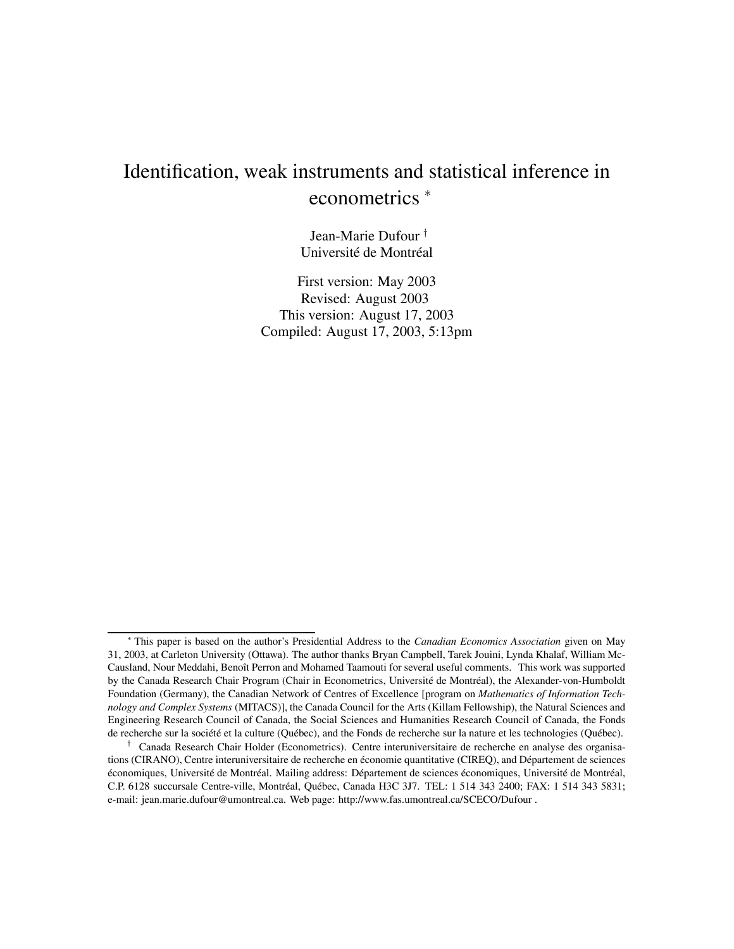# Identification, weak instruments and statistical inference in econometrics <sup>∗</sup>

Jean-Marie Dufour † Université de Montréal

First version: May 2003 Revised: August 2003 This version: August 17, 2003 Compiled: August 17, 2003, 5:13pm

<sup>∗</sup> This paper is based on the author's Presidential Address to the *Canadian Economics Association* given on May 31, 2003, at Carleton University (Ottawa). The author thanks Bryan Campbell, Tarek Jouini, Lynda Khalaf, William Mc-Causland, Nour Meddahi, Benoît Perron and Mohamed Taamouti for several useful comments. This work was supported by the Canada Research Chair Program (Chair in Econometrics, Université de Montréal), the Alexander-von-Humboldt Foundation (Germany), the Canadian Network of Centres of Excellence [program on *Mathematics of Information Technology and Complex Systems* (MITACS)], the Canada Council for the Arts (Killam Fellowship), the Natural Sciences and Engineering Research Council of Canada, the Social Sciences and Humanities Research Council of Canada, the Fonds de recherche sur la société et la culture (Québec), and the Fonds de recherche sur la nature et les technologies (Québec).

<sup>†</sup> Canada Research Chair Holder (Econometrics). Centre interuniversitaire de recherche en analyse des organisations (CIRANO), Centre interuniversitaire de recherche en économie quantitative (CIREQ), and Département de sciences économiques, Université de Montréal. Mailing address: Département de sciences économiques, Université de Montréal, C.P. 6128 succursale Centre-ville, Montréal, Québec, Canada H3C 3J7. TEL: 1 514 343 2400; FAX: 1 514 343 5831; e-mail: jean.marie.dufour@umontreal.ca. Web page: http://www.fas.umontreal.ca/SCECO/Dufour .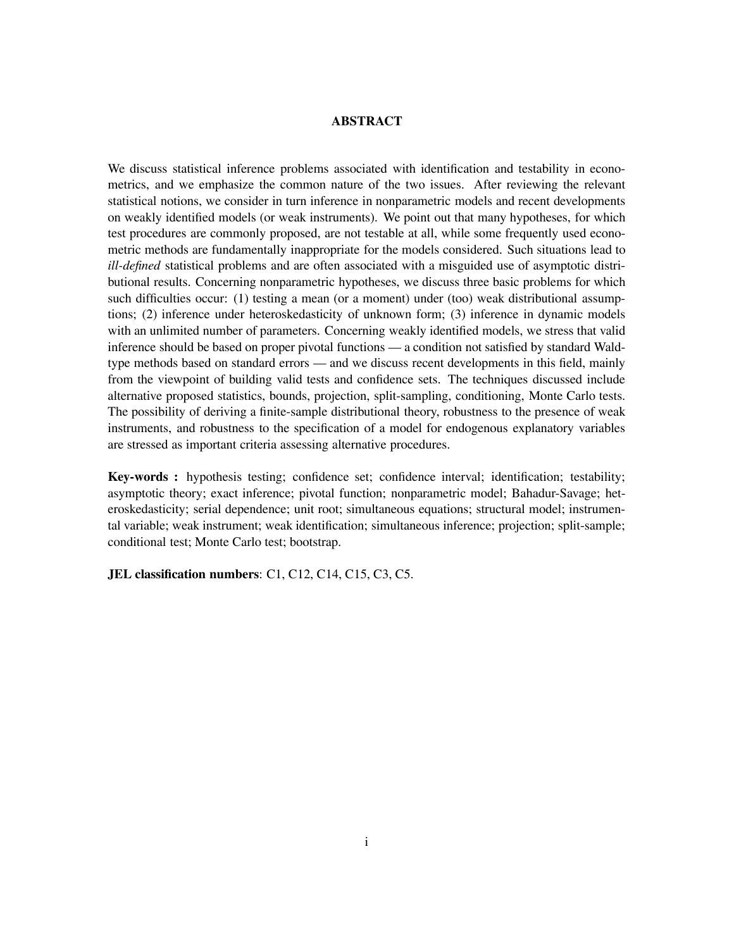#### **ABSTRACT**

We discuss statistical inference problems associated with identification and testability in econometrics, and we emphasize the common nature of the two issues. After reviewing the relevant statistical notions, we consider in turn inference in nonparametric models and recent developments on weakly identified models (or weak instruments). We point out that many hypotheses, for which test procedures are commonly proposed, are not testable at all, while some frequently used econometric methods are fundamentally inappropriate for the models considered. Such situations lead to *ill-defined* statistical problems and are often associated with a misguided use of asymptotic distributional results. Concerning nonparametric hypotheses, we discuss three basic problems for which such difficulties occur: (1) testing a mean (or a moment) under (too) weak distributional assumptions; (2) inference under heteroskedasticity of unknown form; (3) inference in dynamic models with an unlimited number of parameters. Concerning weakly identified models, we stress that valid inference should be based on proper pivotal functions — a condition not satisfied by standard Waldtype methods based on standard errors — and we discuss recent developments in this field, mainly from the viewpoint of building valid tests and confidence sets. The techniques discussed include alternative proposed statistics, bounds, projection, split-sampling, conditioning, Monte Carlo tests. The possibility of deriving a finite-sample distributional theory, robustness to the presence of weak instruments, and robustness to the specification of a model for endogenous explanatory variables are stressed as important criteria assessing alternative procedures.

**Key-words :** hypothesis testing; confidence set; confidence interval; identification; testability; asymptotic theory; exact inference; pivotal function; nonparametric model; Bahadur-Savage; heteroskedasticity; serial dependence; unit root; simultaneous equations; structural model; instrumental variable; weak instrument; weak identification; simultaneous inference; projection; split-sample; conditional test; Monte Carlo test; bootstrap.

**JEL classification numbers**: C1, C12, C14, C15, C3, C5.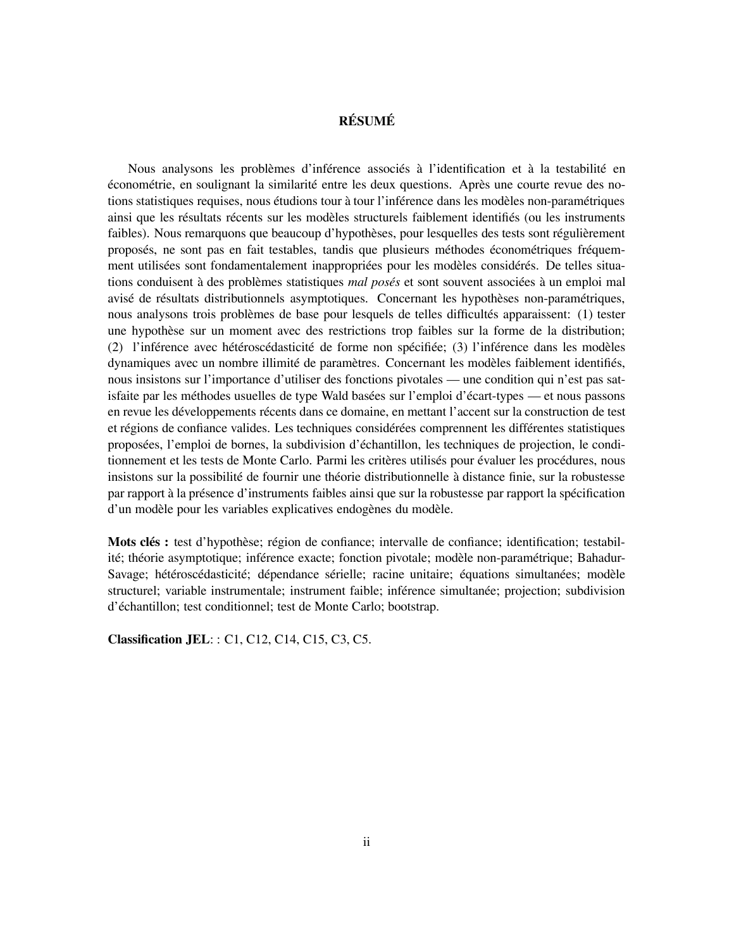## **RÉSUMÉ**

Nous analysons les problèmes d'inférence associés à l'identification et à la testabilité en économétrie, en soulignant la similarité entre les deux questions. Après une courte revue des notions statistiques requises, nous étudions tour à tour l'inférence dans les modèles non-paramétriques ainsi que les résultats récents sur les modèles structurels faiblement identifiés (ou les instruments faibles). Nous remarquons que beaucoup d'hypothèses, pour lesquelles des tests sont régulièrement proposés, ne sont pas en fait testables, tandis que plusieurs méthodes économétriques fréquemment utilisées sont fondamentalement inappropriées pour les modèles considérés. De telles situations conduisent à des problèmes statistiques *mal posés* et sont souvent associées à un emploi mal avisé de résultats distributionnels asymptotiques. Concernant les hypothèses non-paramétriques, nous analysons trois problèmes de base pour lesquels de telles difficultés apparaissent: (1) tester une hypothèse sur un moment avec des restrictions trop faibles sur la forme de la distribution; (2) l'inférence avec hétéroscédasticité de forme non spécifiée; (3) l'inférence dans les modèles dynamiques avec un nombre illimité de paramètres. Concernant les modèles faiblement identifiés, nous insistons sur l'importance d'utiliser des fonctions pivotales — une condition qui n'est pas satisfaite par les méthodes usuelles de type Wald basées sur l'emploi d'écart-types — et nous passons en revue les développements récents dans ce domaine, en mettant l'accent sur la construction de test et régions de confiance valides. Les techniques considérées comprennent les différentes statistiques proposées, l'emploi de bornes, la subdivision d'échantillon, les techniques de projection, le conditionnement et les tests de Monte Carlo. Parmi les critères utilisés pour évaluer les procédures, nous insistons sur la possibilité de fournir une théorie distributionnelle à distance finie, sur la robustesse par rapport à la présence d'instruments faibles ainsi que sur la robustesse par rapport la spécification d'un modèle pour les variables explicatives endogènes du modèle.

**Mots clés :** test d'hypothèse; région de confiance; intervalle de confiance; identification; testabilité; théorie asymptotique; inférence exacte; fonction pivotale; modèle non-paramétrique; Bahadur-Savage; hétéroscédasticité; dépendance sérielle; racine unitaire; équations simultanées; modèle structurel; variable instrumentale; instrument faible; inférence simultanée; projection; subdivision d'échantillon; test conditionnel; test de Monte Carlo; bootstrap.

**Classification JEL**: : C1, C12, C14, C15, C3, C5.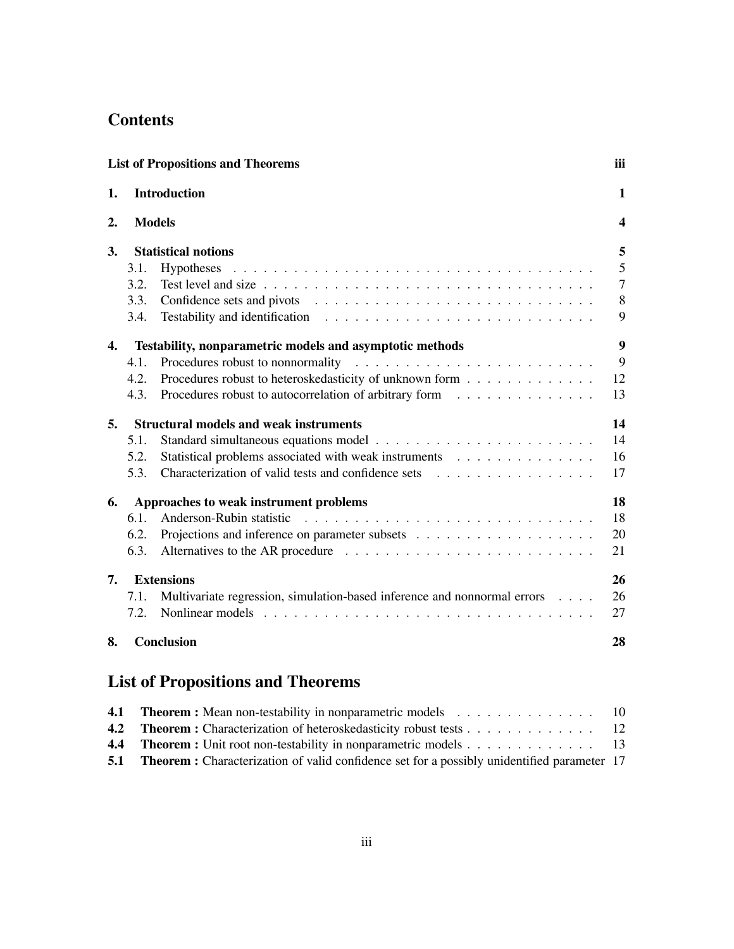# **Contents**

| <b>List of Propositions and Theorems</b> |                                               |                                                                          | iii              |
|------------------------------------------|-----------------------------------------------|--------------------------------------------------------------------------|------------------|
| 1.                                       |                                               | <b>Introduction</b>                                                      | 1                |
| 2.                                       | <b>Models</b>                                 |                                                                          | $\boldsymbol{4}$ |
| 3.                                       | <b>Statistical notions</b>                    |                                                                          |                  |
|                                          | 3.1.                                          | <b>Hypotheses</b>                                                        | 5                |
|                                          | 3.2.                                          |                                                                          | $\overline{7}$   |
|                                          | 3.3.                                          |                                                                          | 8                |
|                                          | 3.4.                                          |                                                                          | 9                |
| 4.                                       |                                               | Testability, nonparametric models and asymptotic methods                 | 9                |
|                                          | 4.1.                                          |                                                                          | $\mathbf{Q}$     |
|                                          | 4.2.                                          | Procedures robust to heteroskedasticity of unknown form                  | 12               |
|                                          | 4.3.                                          | Procedures robust to autocorrelation of arbitrary form                   | 13               |
| 5.                                       | <b>Structural models and weak instruments</b> |                                                                          | 14               |
|                                          | 5.1.                                          |                                                                          | 14               |
|                                          | 5.2.                                          | Statistical problems associated with weak instruments                    | 16               |
|                                          | 5.3.                                          | Characterization of valid tests and confidence sets                      | 17               |
| 6.                                       |                                               | Approaches to weak instrument problems                                   | 18               |
|                                          | 6.1.                                          | Anderson-Rubin statistic                                                 | 18               |
|                                          | 6.2.                                          |                                                                          | 20               |
|                                          | 6.3.                                          |                                                                          | 21               |
| 7.                                       | <b>Extensions</b>                             |                                                                          |                  |
|                                          | 7.1.                                          | Multivariate regression, simulation-based inference and nonnormal errors | 26               |
|                                          | 7.2.                                          |                                                                          | 27               |
| Conclusion<br>8.                         |                                               | 28                                                                       |                  |

# **List of Propositions and Theorems**

| <b>4.1 Theorem :</b> Mean non-testability in nonparametric models 10                                   |  |
|--------------------------------------------------------------------------------------------------------|--|
| <b>4.2 Theorem :</b> Characterization of heteroskedasticity robust tests 12                            |  |
| <b>4.4</b> Theorem : Unit root non-testability in nonparametric models 13                              |  |
| <b>5.1 Theorem :</b> Characterization of valid confidence set for a possibly unidentified parameter 17 |  |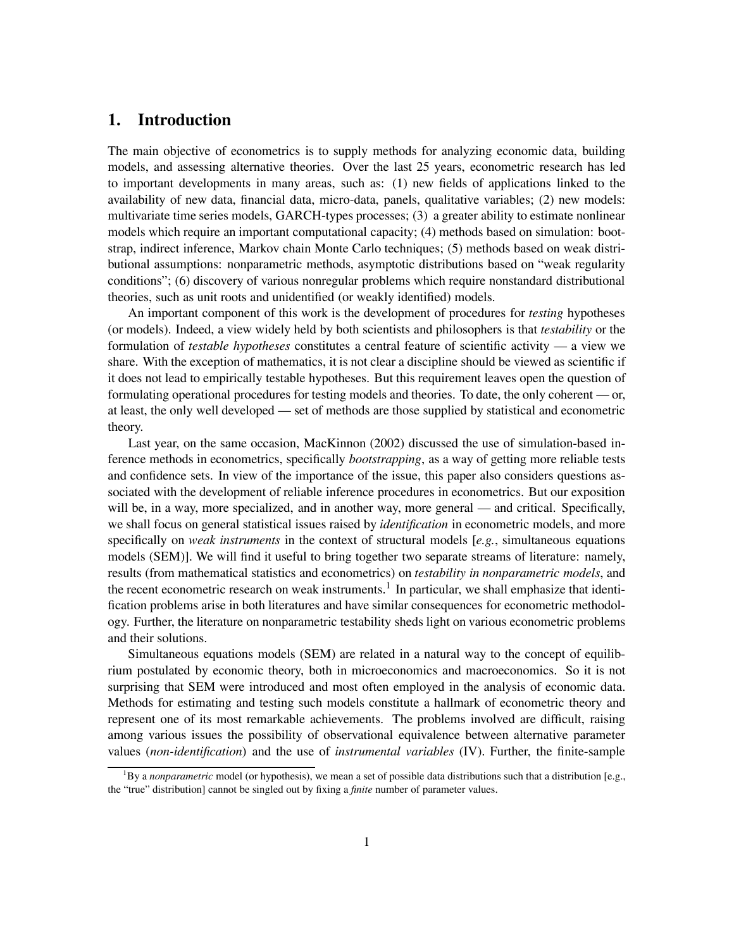# **1. Introduction**

The main objective of econometrics is to supply methods for analyzing economic data, building models, and assessing alternative theories. Over the last 25 years, econometric research has led to important developments in many areas, such as: (1) new fields of applications linked to the availability of new data, financial data, micro-data, panels, qualitative variables; (2) new models: multivariate time series models, GARCH-types processes; (3) a greater ability to estimate nonlinear models which require an important computational capacity; (4) methods based on simulation: bootstrap, indirect inference, Markov chain Monte Carlo techniques; (5) methods based on weak distributional assumptions: nonparametric methods, asymptotic distributions based on "weak regularity conditions"; (6) discovery of various nonregular problems which require nonstandard distributional theories, such as unit roots and unidentified (or weakly identified) models.

An important component of this work is the development of procedures for *testing* hypotheses (or models). Indeed, a view widely held by both scientists and philosophers is that *testability* or the formulation of *testable hypotheses* constitutes a central feature of scientific activity — a view we share. With the exception of mathematics, it is not clear a discipline should be viewed as scientific if it does not lead to empirically testable hypotheses. But this requirement leaves open the question of formulating operational procedures for testing models and theories. To date, the only coherent — or, at least, the only well developed — set of methods are those supplied by statistical and econometric theory.

Last year, on the same occasion, MacKinnon (2002) discussed the use of simulation-based inference methods in econometrics, specifically *bootstrapping*, as a way of getting more reliable tests and confidence sets. In view of the importance of the issue, this paper also considers questions associated with the development of reliable inference procedures in econometrics. But our exposition will be, in a way, more specialized, and in another way, more general — and critical. Specifically, we shall focus on general statistical issues raised by *identification* in econometric models, and more specifically on *weak instruments* in the context of structural models [*e.g.*, simultaneous equations models (SEM)]. We will find it useful to bring together two separate streams of literature: namely, results (from mathematical statistics and econometrics) on *testability in nonparametric models*, and the recent econometric research on weak instruments.<sup>1</sup> In particular, we shall emphasize that identification problems arise in both literatures and have similar consequences for econometric methodology. Further, the literature on nonparametric testability sheds light on various econometric problems and their solutions.

Simultaneous equations models (SEM) are related in a natural way to the concept of equilibrium postulated by economic theory, both in microeconomics and macroeconomics. So it is not surprising that SEM were introduced and most often employed in the analysis of economic data. Methods for estimating and testing such models constitute a hallmark of econometric theory and represent one of its most remarkable achievements. The problems involved are difficult, raising among various issues the possibility of observational equivalence between alternative parameter values (*non-identification*) and the use of *instrumental variables* (IV). Further, the finite-sample

<sup>&</sup>lt;sup>1</sup>By a *nonparametric* model (or hypothesis), we mean a set of possible data distributions such that a distribution [e.g., the "true" distribution] cannot be singled out by fixing a *finite* number of parameter values.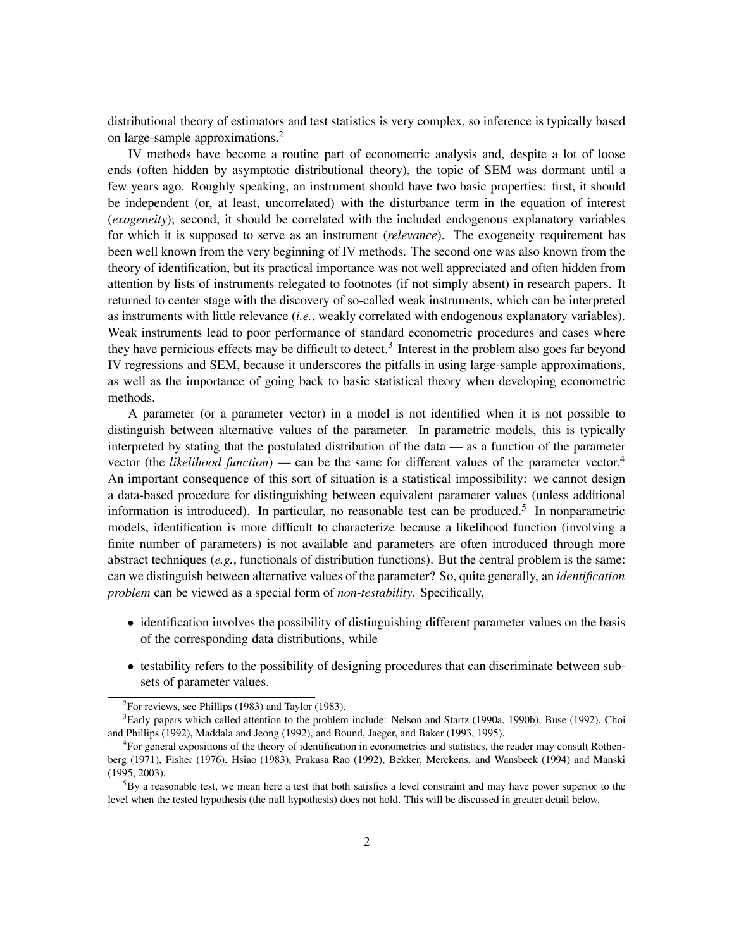distributional theory of estimators and test statistics is very complex, so inference is typically based on large-sample approximations.<sup>2</sup>

IV methods have become a routine part of econometric analysis and, despite a lot of loose ends (often hidden by asymptotic distributional theory), the topic of SEM was dormant until a few years ago. Roughly speaking, an instrument should have two basic properties: first, it should be independent (or, at least, uncorrelated) with the disturbance term in the equation of interest (*exogeneity*); second, it should be correlated with the included endogenous explanatory variables for which it is supposed to serve as an instrument (*relevance*). The exogeneity requirement has been well known from the very beginning of IV methods. The second one was also known from the theory of identification, but its practical importance was not well appreciated and often hidden from attention by lists of instruments relegated to footnotes (if not simply absent) in research papers. It returned to center stage with the discovery of so-called weak instruments, which can be interpreted as instruments with little relevance (*i.e.*, weakly correlated with endogenous explanatory variables). Weak instruments lead to poor performance of standard econometric procedures and cases where they have pernicious effects may be difficult to detect.<sup>3</sup> Interest in the problem also goes far beyond IV regressions and SEM, because it underscores the pitfalls in using large-sample approximations, as well as the importance of going back to basic statistical theory when developing econometric methods.

A parameter (or a parameter vector) in a model is not identified when it is not possible to distinguish between alternative values of the parameter. In parametric models, this is typically interpreted by stating that the postulated distribution of the data — as a function of the parameter vector (the *likelihood function*) — can be the same for different values of the parameter vector.<sup>4</sup> An important consequence of this sort of situation is a statistical impossibility: we cannot design a data-based procedure for distinguishing between equivalent parameter values (unless additional information is introduced). In particular, no reasonable test can be produced.<sup>5</sup> In nonparametric models, identification is more difficult to characterize because a likelihood function (involving a finite number of parameters) is not available and parameters are often introduced through more abstract techniques (*e.g.*, functionals of distribution functions). But the central problem is the same: can we distinguish between alternative values of the parameter? So, quite generally, an *identification problem* can be viewed as a special form of *non-testability*. Specifically,

- identification involves the possibility of distinguishing different parameter values on the basis of the corresponding data distributions, while
- testability refers to the possibility of designing procedures that can discriminate between subsets of parameter values.

 ${}^{2}$ For reviews, see Phillips (1983) and Taylor (1983).

<sup>&</sup>lt;sup>3</sup>Early papers which called attention to the problem include: Nelson and Startz (1990a, 1990b), Buse (1992), Choi and Phillips (1992), Maddala and Jeong (1992), and Bound, Jaeger, and Baker (1993, 1995).

<sup>4</sup> For general expositions of the theory of identification in econometrics and statistics, the reader may consult Rothenberg (1971), Fisher (1976), Hsiao (1983), Prakasa Rao (1992), Bekker, Merckens, and Wansbeek (1994) and Manski (1995, 2003).

 ${}^{5}$ By a reasonable test, we mean here a test that both satisfies a level constraint and may have power superior to the level when the tested hypothesis (the null hypothesis) does not hold. This will be discussed in greater detail below.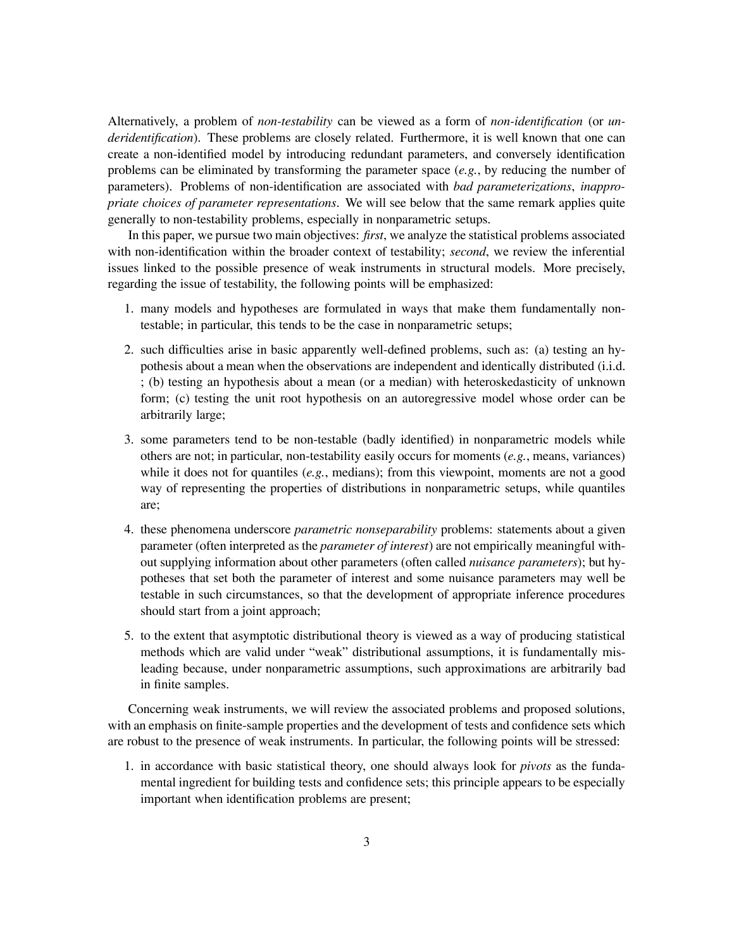Alternatively, a problem of *non-testability* can be viewed as a form of *non-identification* (or *underidentification*). These problems are closely related. Furthermore, it is well known that one can create a non-identified model by introducing redundant parameters, and conversely identification problems can be eliminated by transforming the parameter space (*e.g.*, by reducing the number of parameters). Problems of non-identification are associated with *bad parameterizations*, *inappropriate choices of parameter representations*. We will see below that the same remark applies quite generally to non-testability problems, especially in nonparametric setups.

In this paper, we pursue two main objectives: *first*, we analyze the statistical problems associated with non-identification within the broader context of testability; *second*, we review the inferential issues linked to the possible presence of weak instruments in structural models. More precisely, regarding the issue of testability, the following points will be emphasized:

- 1. many models and hypotheses are formulated in ways that make them fundamentally nontestable; in particular, this tends to be the case in nonparametric setups;
- 2. such difficulties arise in basic apparently well-defined problems, such as: (a) testing an hypothesis about a mean when the observations are independent and identically distributed (i.i.d. ; (b) testing an hypothesis about a mean (or a median) with heteroskedasticity of unknown form; (c) testing the unit root hypothesis on an autoregressive model whose order can be arbitrarily large;
- 3. some parameters tend to be non-testable (badly identified) in nonparametric models while others are not; in particular, non-testability easily occurs for moments (*e.g.*, means, variances) while it does not for quantiles (*e.g.*, medians); from this viewpoint, moments are not a good way of representing the properties of distributions in nonparametric setups, while quantiles are;
- 4. these phenomena underscore *parametric nonseparability* problems: statements about a given parameter (often interpreted as the *parameter of interest*) are not empirically meaningful without supplying information about other parameters (often called *nuisance parameters*); but hypotheses that set both the parameter of interest and some nuisance parameters may well be testable in such circumstances, so that the development of appropriate inference procedures should start from a joint approach;
- 5. to the extent that asymptotic distributional theory is viewed as a way of producing statistical methods which are valid under "weak" distributional assumptions, it is fundamentally misleading because, under nonparametric assumptions, such approximations are arbitrarily bad in finite samples.

Concerning weak instruments, we will review the associated problems and proposed solutions, with an emphasis on finite-sample properties and the development of tests and confidence sets which are robust to the presence of weak instruments. In particular, the following points will be stressed:

1. in accordance with basic statistical theory, one should always look for *pivots* as the fundamental ingredient for building tests and confidence sets; this principle appears to be especially important when identification problems are present;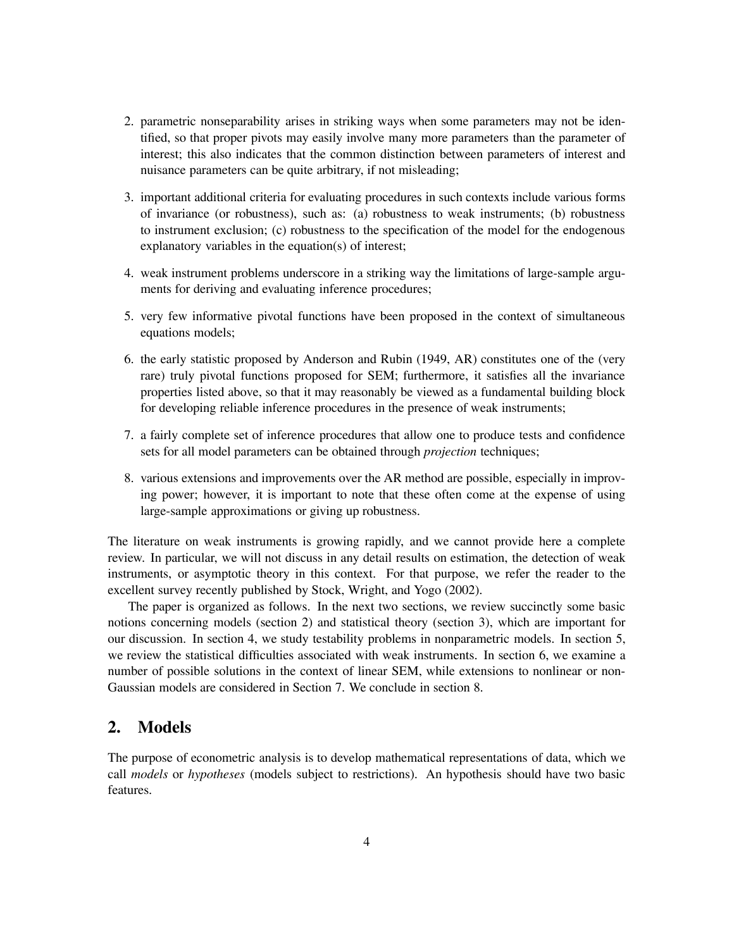- 2. parametric nonseparability arises in striking ways when some parameters may not be identified, so that proper pivots may easily involve many more parameters than the parameter of interest; this also indicates that the common distinction between parameters of interest and nuisance parameters can be quite arbitrary, if not misleading;
- 3. important additional criteria for evaluating procedures in such contexts include various forms of invariance (or robustness), such as: (a) robustness to weak instruments; (b) robustness to instrument exclusion; (c) robustness to the specification of the model for the endogenous explanatory variables in the equation(s) of interest;
- 4. weak instrument problems underscore in a striking way the limitations of large-sample arguments for deriving and evaluating inference procedures;
- 5. very few informative pivotal functions have been proposed in the context of simultaneous equations models;
- 6. the early statistic proposed by Anderson and Rubin (1949, AR) constitutes one of the (very rare) truly pivotal functions proposed for SEM; furthermore, it satisfies all the invariance properties listed above, so that it may reasonably be viewed as a fundamental building block for developing reliable inference procedures in the presence of weak instruments;
- 7. a fairly complete set of inference procedures that allow one to produce tests and confidence sets for all model parameters can be obtained through *projection* techniques;
- 8. various extensions and improvements over the AR method are possible, especially in improving power; however, it is important to note that these often come at the expense of using large-sample approximations or giving up robustness.

The literature on weak instruments is growing rapidly, and we cannot provide here a complete review. In particular, we will not discuss in any detail results on estimation, the detection of weak instruments, or asymptotic theory in this context. For that purpose, we refer the reader to the excellent survey recently published by Stock, Wright, and Yogo (2002).

The paper is organized as follows. In the next two sections, we review succinctly some basic notions concerning models (section 2) and statistical theory (section 3), which are important for our discussion. In section 4, we study testability problems in nonparametric models. In section 5, we review the statistical difficulties associated with weak instruments. In section 6, we examine a number of possible solutions in the context of linear SEM, while extensions to nonlinear or non-Gaussian models are considered in Section 7. We conclude in section 8.

# **2. Models**

The purpose of econometric analysis is to develop mathematical representations of data, which we call *models* or *hypotheses* (models subject to restrictions). An hypothesis should have two basic features.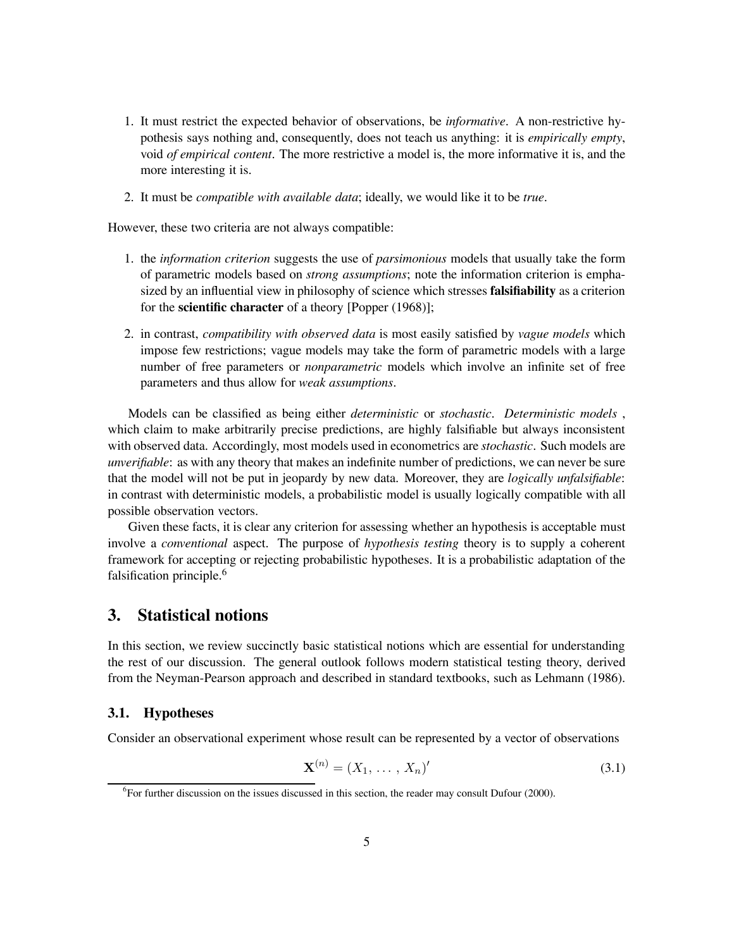- 1. It must restrict the expected behavior of observations, be *informative*. A non-restrictive hypothesis says nothing and, consequently, does not teach us anything: it is *empirically empty*, void *of empirical content*. The more restrictive a model is, the more informative it is, and the more interesting it is.
- 2. It must be *compatible with available data*; ideally, we would like it to be *true*.

However, these two criteria are not always compatible:

- 1. the *information criterion* suggests the use of *parsimonious* models that usually take the form of parametric models based on *strong assumptions*; note the information criterion is emphasized by an influential view in philosophy of science which stresses **falsifiability** as a criterion for the **scientific character** of a theory [Popper (1968)];
- 2. in contrast, *compatibility with observed data* is most easily satisfied by *vague models* which impose few restrictions; vague models may take the form of parametric models with a large number of free parameters or *nonparametric* models which involve an infinite set of free parameters and thus allow for *weak assumptions*.

Models can be classified as being either *deterministic* or *stochastic*. *Deterministic models* , which claim to make arbitrarily precise predictions, are highly falsifiable but always inconsistent with observed data. Accordingly, most models used in econometrics are *stochastic*. Such models are *unverifiable*: as with any theory that makes an indefinite number of predictions, we can never be sure that the model will not be put in jeopardy by new data. Moreover, they are *logically unfalsifiable*: in contrast with deterministic models, a probabilistic model is usually logically compatible with all possible observation vectors.

Given these facts, it is clear any criterion for assessing whether an hypothesis is acceptable must involve a *conventional* aspect. The purpose of *hypothesis testing* theory is to supply a coherent framework for accepting or rejecting probabilistic hypotheses. It is a probabilistic adaptation of the falsification principle.<sup>6</sup>

# **3. Statistical notions**

In this section, we review succinctly basic statistical notions which are essential for understanding the rest of our discussion. The general outlook follows modern statistical testing theory, derived from the Neyman-Pearson approach and described in standard textbooks, such as Lehmann (1986).

### **3.1. Hypotheses**

Consider an observational experiment whose result can be represented by a vector of observations

$$
\mathbf{X}^{(n)} = (X_1, \ldots, X_n)'
$$
\n(3.1)

<sup>&</sup>lt;sup>6</sup>For further discussion on the issues discussed in this section, the reader may consult Dufour (2000).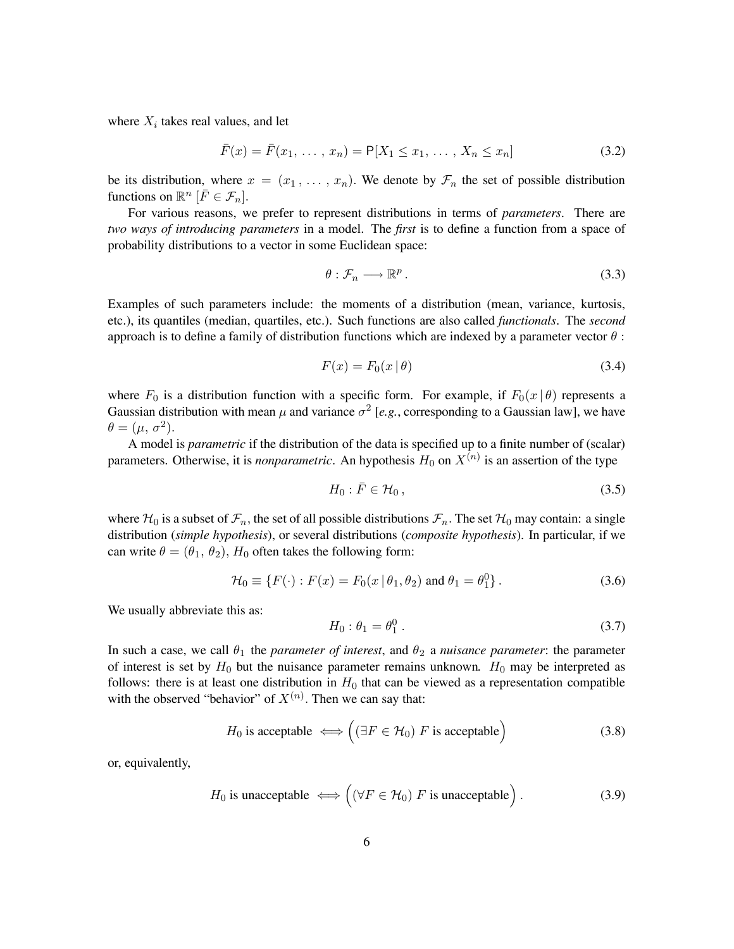where  $X_i$  takes real values, and let

$$
\bar{F}(x) = \bar{F}(x_1, \ldots, x_n) = P[X_1 \le x_1, \ldots, X_n \le x_n]
$$
\n(3.2)

be its distribution, where  $x = (x_1, \ldots, x_n)$ . We denote by  $\mathcal{F}_n$  the set of possible distribution functions on  $\mathbb{R}^n$   $[\bar{F} \in \mathcal{F}_n]$ .

For various reasons, we prefer to represent distributions in terms of *parameters*. There are *two ways of introducing parameters* in a model. The *first* is to define a function from a space of probability distributions to a vector in some Euclidean space:

$$
\theta: \mathcal{F}_n \longrightarrow \mathbb{R}^p. \tag{3.3}
$$

Examples of such parameters include: the moments of a distribution (mean, variance, kurtosis, etc.), its quantiles (median, quartiles, etc.). Such functions are also called *functionals*. The *second* approach is to define a family of distribution functions which are indexed by a parameter vector  $\theta$ :

$$
F(x) = F_0(x | \theta) \tag{3.4}
$$

where  $F_0$  is a distribution function with a specific form. For example, if  $F_0(x | \theta)$  represents a Gaussian distribution with mean  $\mu$  and variance  $\sigma^2$  [e.g., corresponding to a Gaussian law], we have  $\theta = (\mu, \sigma^2).$ 

A model is *parametric* if the distribution of the data is specified up to a finite number of (scalar) parameters. Otherwise, it is *nonparametric*. An hypothesis  $H_0$  on  $X^{(n)}$  is an assertion of the type

$$
H_0: \bar{F} \in \mathcal{H}_0, \tag{3.5}
$$

where  $\mathcal{H}_0$  is a subset of  $\mathcal{F}_n$ , the set of all possible distributions  $\mathcal{F}_n$ . The set  $\mathcal{H}_0$  may contain: a single distribution (*simple hypothesis*), or several distributions (*composite hypothesis*). In particular, if we can write  $\theta = (\theta_1, \theta_2), H_0$  often takes the following form:

$$
\mathcal{H}_0 \equiv \{ F(\cdot) : F(x) = F_0(x \, | \, \theta_1, \theta_2) \text{ and } \theta_1 = \theta_1^0 \}.
$$
 (3.6)

We usually abbreviate this as:

$$
H_0: \theta_1 = \theta_1^0. \tag{3.7}
$$

In such a case, we call  $\theta_1$  the *parameter of interest*, and  $\theta_2$  a *nuisance parameter*: the parameter of interest is set by  $H_0$  but the nuisance parameter remains unknown.  $H_0$  may be interpreted as follows: there is at least one distribution in  $H_0$  that can be viewed as a representation compatible with the observed "behavior" of  $X^{(n)}$ . Then we can say that:

$$
H_0 \text{ is acceptable } \Longleftrightarrow \Big( (\exists F \in \mathcal{H}_0) \ F \text{ is acceptable} \Big) \tag{3.8}
$$

or, equivalently,

$$
H_0 \text{ is unacceptable } \Longleftrightarrow \left( (\forall F \in \mathcal{H}_0) \ F \text{ is unacceptable} \right). \tag{3.9}
$$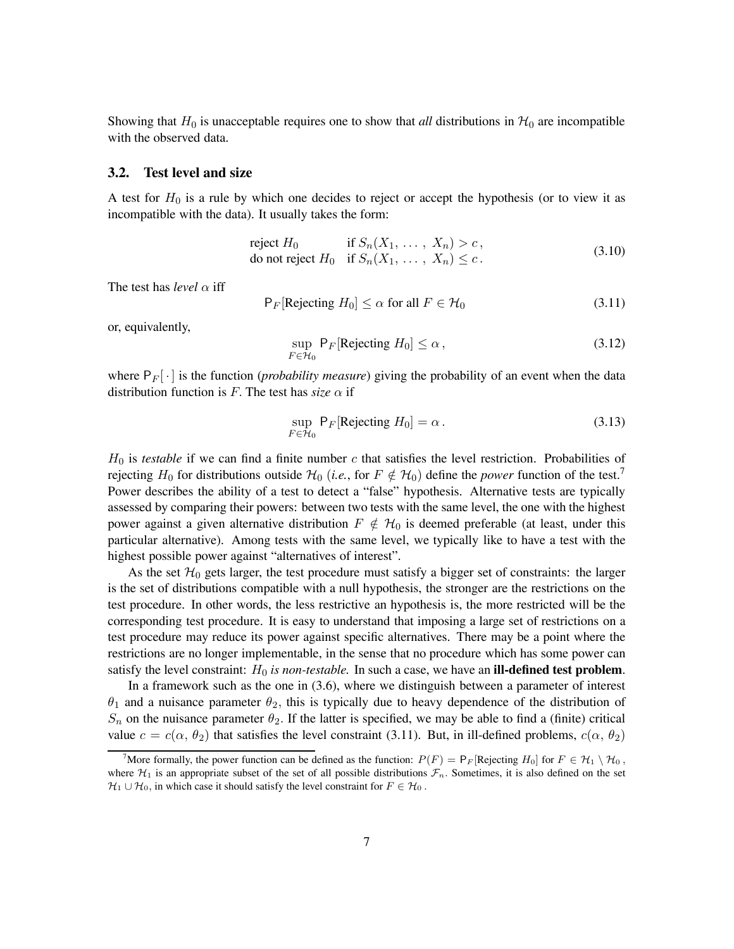Showing that  $H_0$  is unacceptable requires one to show that *all* distributions in  $H_0$  are incompatible with the observed data.

#### **3.2. Test level and size**

A test for  $H_0$  is a rule by which one decides to reject or accept the hypothesis (or to view it as incompatible with the data). It usually takes the form:

reject 
$$
H_0
$$
 if  $S_n(X_1, ..., X_n) > c$ ,  
do not reject  $H_0$  if  $S_n(X_1, ..., X_n) \le c$ . (3.10)

The test has *level*  $\alpha$  iff

$$
\mathsf{P}_F[\text{Rejecting } H_0] \le \alpha \text{ for all } F \in \mathcal{H}_0 \tag{3.11}
$$

or, equivalently,

$$
\sup_{F \in \mathcal{H}_0} \mathsf{P}_F[\text{Rejecting } H_0] \le \alpha, \tag{3.12}
$$

where  $P_F[\cdot]$  is the function (*probability measure*) giving the probability of an event when the data distribution function is F. The test has *size*  $\alpha$  if

$$
\sup_{F \in \mathcal{H}_0} \mathsf{P}_F[\text{Rejecting } H_0] = \alpha. \tag{3.13}
$$

 $H_0$  is *testable* if we can find a finite number c that satisfies the level restriction. Probabilities of rejecting H<sub>0</sub> for distributions outside  $H_0$  (*i.e.*, for  $F \notin H_0$ ) define the *power* function of the test.<sup>7</sup> Power describes the ability of a test to detect a "false" hypothesis. Alternative tests are typically assessed by comparing their powers: between two tests with the same level, the one with the highest power against a given alternative distribution  $F \notin H_0$  is deemed preferable (at least, under this particular alternative). Among tests with the same level, we typically like to have a test with the highest possible power against "alternatives of interest".

As the set  $\mathcal{H}_0$  gets larger, the test procedure must satisfy a bigger set of constraints: the larger is the set of distributions compatible with a null hypothesis, the stronger are the restrictions on the test procedure. In other words, the less restrictive an hypothesis is, the more restricted will be the corresponding test procedure. It is easy to understand that imposing a large set of restrictions on a test procedure may reduce its power against specific alternatives. There may be a point where the restrictions are no longer implementable, in the sense that no procedure which has some power can satisfy the level constraint:  $H_0$  *is non-testable*. In such a case, we have an **ill-defined test problem**.

In a framework such as the one in (3.6), where we distinguish between a parameter of interest  $\theta_1$  and a nuisance parameter  $\theta_2$ , this is typically due to heavy dependence of the distribution of  $S_n$  on the nuisance parameter  $\theta_2$ . If the latter is specified, we may be able to find a (finite) critical value  $c = c(\alpha, \theta_2)$  that satisfies the level constraint (3.11). But, in ill-defined problems,  $c(\alpha, \theta_2)$ 

<sup>&</sup>lt;sup>7</sup>More formally, the power function can be defined as the function:  $P(F) = P_F[\text{Rejecting } H_0]$  for  $F \in H_1 \setminus H_0$ , where  $\mathcal{H}_1$  is an appropriate subset of the set of all possible distributions  $\mathcal{F}_n$ . Sometimes, it is also defined on the set  $\mathcal{H}_1 \cup \mathcal{H}_0$ , in which case it should satisfy the level constraint for  $F \in \mathcal{H}_0$ .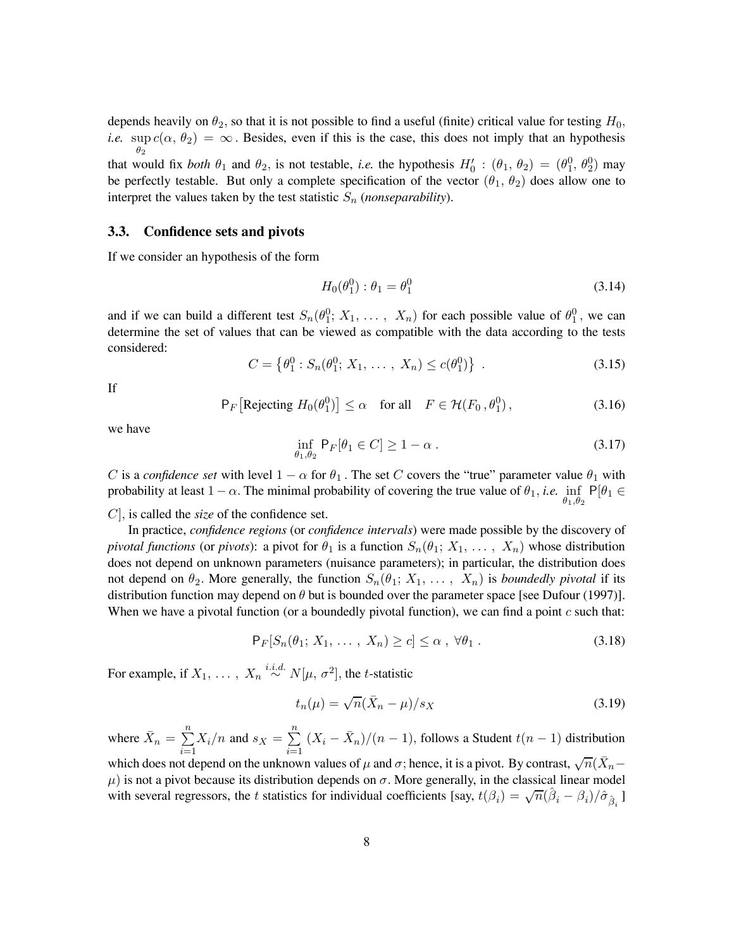depends heavily on  $\theta_2$ , so that it is not possible to find a useful (finite) critical value for testing  $H_0$ , *i.e.* sup  $c(\alpha, \theta_2) = \infty$ . Besides, even if this is the case, this does not imply that an hypothesis  $\theta_2$ 

that would fix *both*  $\theta_1$  and  $\theta_2$ , is not testable, *i.e.* the hypothesis  $H'_0$ :  $(\theta_1, \theta_2) = (\theta_1^0, \theta_2^0)$  may be perfectly testable. But only a complete specification of the vector  $(\theta_1, \theta_2)$  does allow one to interpret the values taken by the test statistic  $S_n$  (*nonseparability*).

### **3.3. Confidence sets and pivots**

If we consider an hypothesis of the form

$$
H_0(\theta_1^0) : \theta_1 = \theta_1^0 \tag{3.14}
$$

and if we can build a different test  $S_n(\theta_1^0; X_1, \ldots, X_n)$  for each possible value of  $\theta_1^0$ , we can determine the set of values that can be viewed as compatible with the data according to the tests considered:

$$
C = \left\{ \theta_1^0 : S_n(\theta_1^0; X_1, \dots, X_n) \le c(\theta_1^0) \right\} \tag{3.15}
$$

If

$$
\mathsf{P}_F\big[\text{Rejecting } H_0(\theta_1^0)\big] \le \alpha \quad \text{for all} \quad F \in \mathcal{H}(F_0, \theta_1^0),\tag{3.16}
$$

we have

$$
\inf_{\theta_1, \theta_2} \mathsf{P}_F[\theta_1 \in C] \ge 1 - \alpha \,. \tag{3.17}
$$

C is a *confidence set* with level  $1 - \alpha$  for  $\theta_1$ . The set C covers the "true" parameter value  $\theta_1$  with probability at least  $1 - \alpha$ . The minimal probability of covering the true value of  $\theta_1$ , *i.e.*  $\inf_{\theta_1, \theta_2} P[\theta_1 \in$ 

C], is called the *size* of the confidence set.

In practice, *confidence regions* (or *confidence intervals*) were made possible by the discovery of *pivotal functions* (or *pivots*): a pivot for  $\theta_1$  is a function  $S_n(\theta_1; X_1, \ldots, X_n)$  whose distribution does not depend on unknown parameters (nuisance parameters); in particular, the distribution does not depend on  $\theta_2$ . More generally, the function  $S_n(\theta_1; X_1, \ldots, X_n)$  is *boundedly pivotal* if its distribution function may depend on  $\theta$  but is bounded over the parameter space [see Dufour (1997)]. When we have a pivotal function (or a boundedly pivotal function), we can find a point  $c$  such that:

$$
\mathsf{P}_F[S_n(\theta_1; X_1, \dots, X_n) \ge c] \le \alpha \,, \,\forall \theta_1 \,.
$$

For example, if  $X_1, \ldots, X_n \stackrel{i.i.d.}{\sim} N[\mu, \sigma^2]$ , the *t*-statistic

$$
t_n(\mu) = \sqrt{n}(\bar{X}_n - \mu)/s_X
$$
\n(3.19)

where  $\bar{X}_n = \sum_{n=1}^n$  $i=1$  $X_i/n$  and  $s_X = \sum^n$  $i=1$  $(X_i - \bar{X}_n)/(n-1)$ , follows a Student  $t(n-1)$  distribution

which does not depend on the unknown values of  $\mu$  and  $\sigma$ ; hence, it is a pivot. By contrast,  $\sqrt{n}(\bar{X}_n-\bar{X}_n)$  $\mu$ ) is not a pivot because its distribution depends on  $\sigma$ . More generally, in the classical linear model with several regressors, the t statistics for individual coefficients [say,  $t(\beta_i) = \sqrt{n}(\hat{\beta}_i - \beta_i)/\hat{\sigma}_{\hat{\beta}_i}$ ]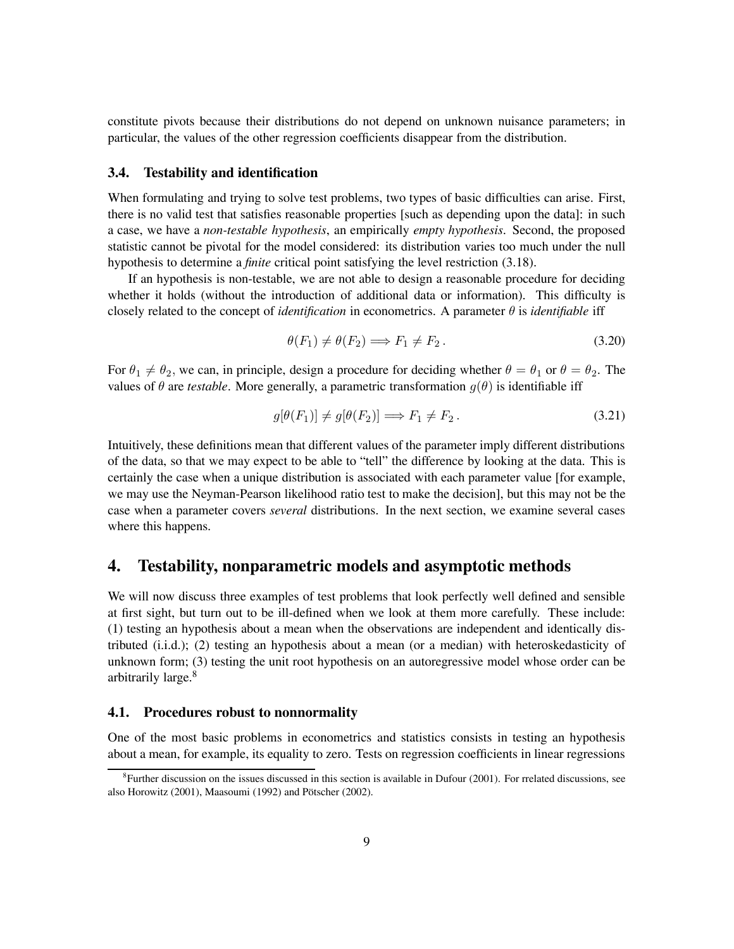constitute pivots because their distributions do not depend on unknown nuisance parameters; in particular, the values of the other regression coefficients disappear from the distribution.

### **3.4. Testability and identification**

When formulating and trying to solve test problems, two types of basic difficulties can arise. First, there is no valid test that satisfies reasonable properties [such as depending upon the data]: in such a case, we have a *non-testable hypothesis*, an empirically *empty hypothesis*. Second, the proposed statistic cannot be pivotal for the model considered: its distribution varies too much under the null hypothesis to determine a *finite* critical point satisfying the level restriction (3.18).

If an hypothesis is non-testable, we are not able to design a reasonable procedure for deciding whether it holds (without the introduction of additional data or information). This difficulty is closely related to the concept of *identification* in econometrics. A parameter  $\theta$  is *identifiable* iff

$$
\theta(F_1) \neq \theta(F_2) \Longrightarrow F_1 \neq F_2. \tag{3.20}
$$

For  $\theta_1 \neq \theta_2$ , we can, in principle, design a procedure for deciding whether  $\theta = \theta_1$  or  $\theta = \theta_2$ . The values of  $\theta$  are *testable*. More generally, a parametric transformation  $g(\theta)$  is identifiable iff

$$
g[\theta(F_1)] \neq g[\theta(F_2)] \Longrightarrow F_1 \neq F_2. \tag{3.21}
$$

Intuitively, these definitions mean that different values of the parameter imply different distributions of the data, so that we may expect to be able to "tell" the difference by looking at the data. This is certainly the case when a unique distribution is associated with each parameter value [for example, we may use the Neyman-Pearson likelihood ratio test to make the decision], but this may not be the case when a parameter covers *several* distributions. In the next section, we examine several cases where this happens.

# **4. Testability, nonparametric models and asymptotic methods**

We will now discuss three examples of test problems that look perfectly well defined and sensible at first sight, but turn out to be ill-defined when we look at them more carefully. These include: (1) testing an hypothesis about a mean when the observations are independent and identically distributed (i.i.d.); (2) testing an hypothesis about a mean (or a median) with heteroskedasticity of unknown form; (3) testing the unit root hypothesis on an autoregressive model whose order can be arbitrarily large.<sup>8</sup>

### **4.1. Procedures robust to nonnormality**

One of the most basic problems in econometrics and statistics consists in testing an hypothesis about a mean, for example, its equality to zero. Tests on regression coefficients in linear regressions

<sup>&</sup>lt;sup>8</sup>Further discussion on the issues discussed in this section is available in Dufour (2001). For rrelated discussions, see also Horowitz (2001), Maasoumi (1992) and Pötscher (2002).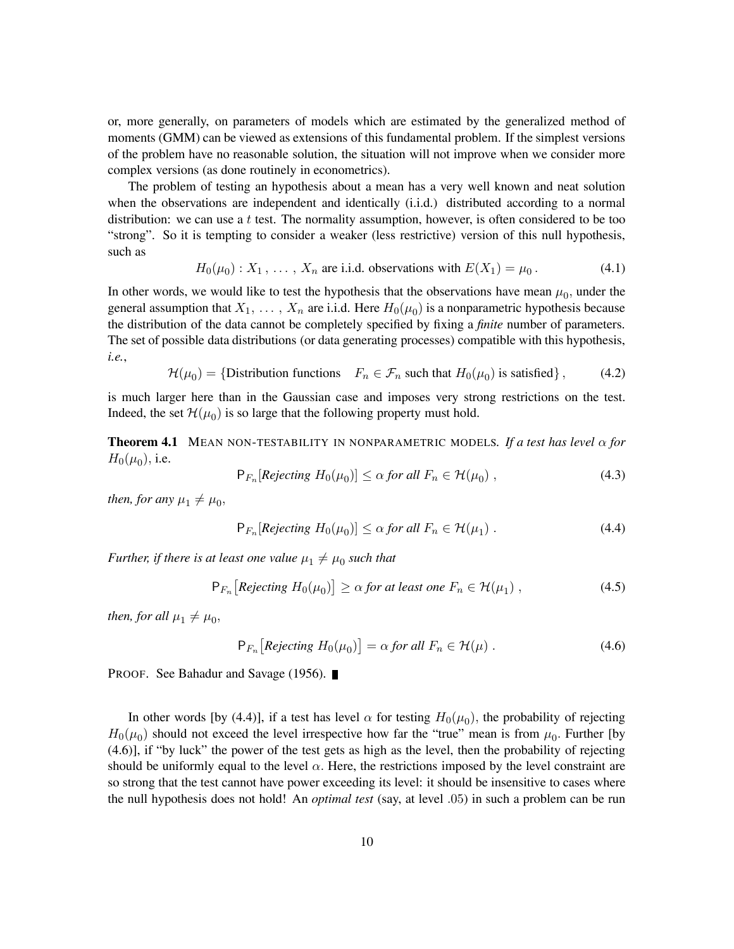or, more generally, on parameters of models which are estimated by the generalized method of moments (GMM) can be viewed as extensions of this fundamental problem. If the simplest versions of the problem have no reasonable solution, the situation will not improve when we consider more complex versions (as done routinely in econometrics).

The problem of testing an hypothesis about a mean has a very well known and neat solution when the observations are independent and identically (i.i.d.) distributed according to a normal distribution: we can use a  $t$  test. The normality assumption, however, is often considered to be too "strong". So it is tempting to consider a weaker (less restrictive) version of this null hypothesis, such as

$$
H_0(\mu_0): X_1, \dots, X_n \text{ are i.i.d. observations with } E(X_1) = \mu_0. \tag{4.1}
$$

In other words, we would like to test the hypothesis that the observations have mean  $\mu_0$ , under the general assumption that  $X_1, \ldots, X_n$  are i.i.d. Here  $H_0(\mu_0)$  is a nonparametric hypothesis because the distribution of the data cannot be completely specified by fixing a *finite* number of parameters. The set of possible data distributions (or data generating processes) compatible with this hypothesis, *i.e.*,

$$
\mathcal{H}(\mu_0) = \{ \text{Distribution functions} \quad F_n \in \mathcal{F}_n \text{ such that } H_0(\mu_0) \text{ is satisfied} \},\tag{4.2}
$$

is much larger here than in the Gaussian case and imposes very strong restrictions on the test. Indeed, the set  $\mathcal{H}(\mu_0)$  is so large that the following property must hold.

**Theorem 4.1** MEAN NON-TESTABILITY IN NONPARAMETRIC MODELS*. If a test has level* α *for*  $H_0(\mu_0)$ , i.e.

$$
\mathsf{P}_{F_n}[Rejecting H_0(\mu_0)] \le \alpha \text{ for all } F_n \in \mathcal{H}(\mu_0) , \tag{4.3}
$$

*then, for any*  $\mu_1 \neq \mu_0$ ,

$$
\mathsf{P}_{F_n}[Rejecting H_0(\mu_0)] \le \alpha \text{ for all } F_n \in \mathcal{H}(\mu_1) \,. \tag{4.4}
$$

*Further, if there is at least one value*  $\mu_1 \neq \mu_0$  *such that* 

$$
P_{F_n}[Rejecting H_0(\mu_0)] \ge \alpha \text{ for at least one } F_n \in \mathcal{H}(\mu_1) , \qquad (4.5)
$$

*then, for all*  $\mu_1 \neq \mu_0$ *,* 

$$
P_{F_n}[Rejecting H_0(\mu_0)] = \alpha \text{ for all } F_n \in \mathcal{H}(\mu) . \tag{4.6}
$$

PROOF. See Bahadur and Savage (1956). ■

In other words [by (4.4)], if a test has level  $\alpha$  for testing  $H_0(\mu_0)$ , the probability of rejecting  $H_0(\mu_0)$  should not exceed the level irrespective how far the "true" mean is from  $\mu_0$ . Further [by (4.6)], if "by luck" the power of the test gets as high as the level, then the probability of rejecting should be uniformly equal to the level  $\alpha$ . Here, the restrictions imposed by the level constraint are so strong that the test cannot have power exceeding its level: it should be insensitive to cases where the null hypothesis does not hold! An *optimal test* (say, at level .05) in such a problem can be run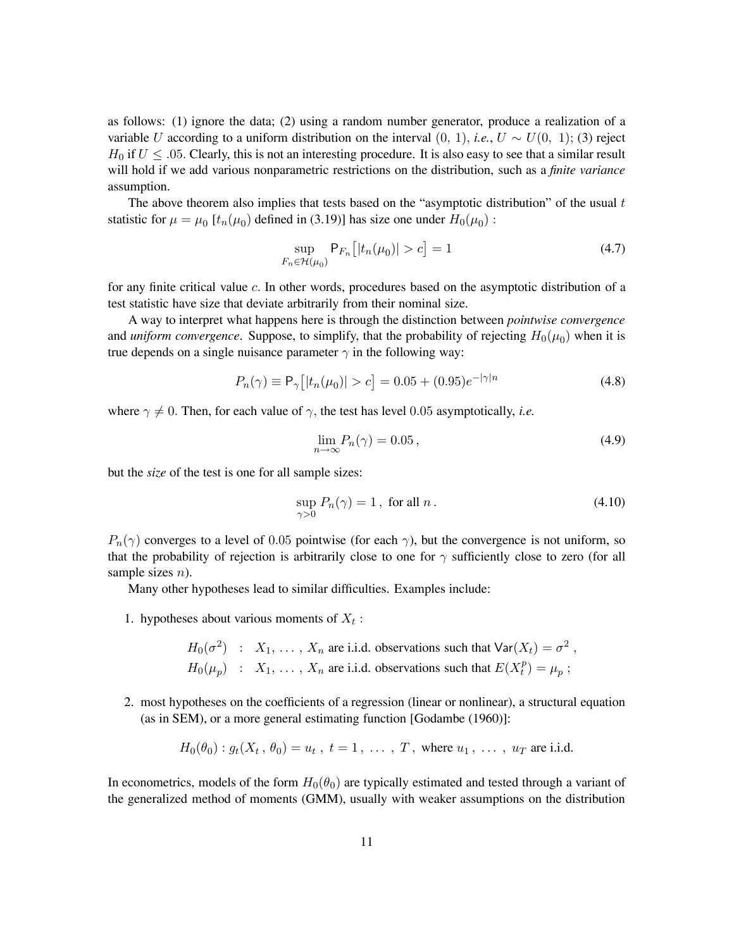as follows: (1) ignore the data; (2) using a random number generator, produce a realization of a variable U according to a uniform distribution on the interval  $(0, 1)$ , *i.e.*,  $U \sim U(0, 1)$ ; (3) reject  $H_0$  if  $U \leq .05$ . Clearly, this is not an interesting procedure. It is also easy to see that a similar result will hold if we add various nonparametric restrictions on the distribution, such as a *finite variance* assumption.

The above theorem also implies that tests based on the "asymptotic distribution" of the usual  $t$ statistic for  $\mu = \mu_0$  [ $t_n(\mu_0)$  defined in (3.19)] has size one under  $H_0(\mu_0)$ :

$$
\sup_{F_n \in \mathcal{H}(\mu_0)} \mathsf{P}_{F_n} \left[ |t_n(\mu_0)| > c \right] = 1 \tag{4.7}
$$

for any finite critical value c. In other words, procedures based on the asymptotic distribution of a test statistic have size that deviate arbitrarily from their nominal size.

A way to interpret what happens here is through the distinction between *pointwise convergence* and *uniform convergence*. Suppose, to simplify, that the probability of rejecting  $H_0(\mu_0)$  when it is true depends on a single nuisance parameter  $\gamma$  in the following way:

$$
P_n(\gamma) \equiv \mathsf{P}_{\gamma} \big[ |t_n(\mu_0)| > c \big] = 0.05 + (0.95)e^{-|\gamma|n} \tag{4.8}
$$

where  $\gamma \neq 0$ . Then, for each value of  $\gamma$ , the test has level 0.05 asymptotically, *i.e.* 

$$
\lim_{n \to \infty} P_n(\gamma) = 0.05\,,\tag{4.9}
$$

but the *size* of the test is one for all sample sizes:

$$
\sup_{\gamma>0} P_n(\gamma) = 1, \text{ for all } n. \tag{4.10}
$$

 $P_n(\gamma)$  converges to a level of 0.05 pointwise (for each  $\gamma$ ), but the convergence is not uniform, so that the probability of rejection is arbitrarily close to one for  $\gamma$  sufficiently close to zero (for all sample sizes  $n$ ).

Many other hypotheses lead to similar difficulties. Examples include:

1. hypotheses about various moments of  $X_t$ :

$$
H_0(\sigma^2) \; : \; X_1, \ldots, X_n \text{ are i.i.d. observations such that } \text{Var}(X_t) = \sigma^2 \,,
$$
  

$$
H_0(\mu_p) \; : \; X_1, \ldots, X_n \text{ are i.i.d. observations such that } E(X_t^p) = \mu_p \, ;
$$

2. most hypotheses on the coefficients of a regression (linear or nonlinear), a structural equation (as in SEM), or a more general estimating function [Godambe (1960)]:

$$
H_0(\theta_0) : g_t(X_t, \theta_0) = u_t, t = 1, ..., T
$$
, where  $u_1, ..., u_T$  are i.i.d.

In econometrics, models of the form  $H_0(\theta_0)$  are typically estimated and tested through a variant of the generalized method of moments (GMM), usually with weaker assumptions on the distribution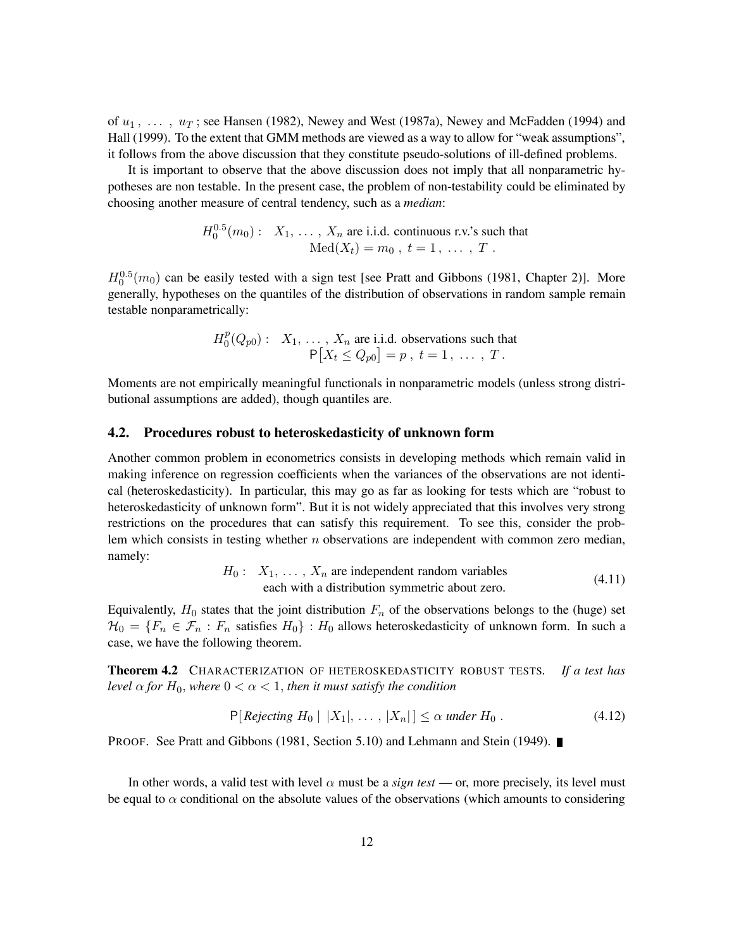of  $u_1, \ldots, u_T$ ; see Hansen (1982), Newey and West (1987a), Newey and McFadden (1994) and Hall (1999). To the extent that GMM methods are viewed as a way to allow for "weak assumptions", it follows from the above discussion that they constitute pseudo-solutions of ill-defined problems.

It is important to observe that the above discussion does not imply that all nonparametric hypotheses are non testable. In the present case, the problem of non-testability could be eliminated by choosing another measure of central tendency, such as a *median*:

$$
H_0^{0.5}(m_0): X_1, \ldots, X_n \text{ are i.i.d. continuous r.v.'s such that}
$$

$$
\text{Med}(X_t) = m_0, t = 1, \ldots, T.
$$

 $H_0^{0.5}(m_0)$  can be easily tested with a sign test [see Pratt and Gibbons (1981, Chapter 2)]. More generally, hypotheses on the quantiles of the distribution of observations in random sample remain testable nonparametrically:

$$
H_0^p(Q_{p0}): X_1, \ldots, X_n \text{ are i.i.d. observations such that}
$$
  

$$
P[X_t \leq Q_{p0}] = p, t = 1, \ldots, T.
$$

Moments are not empirically meaningful functionals in nonparametric models (unless strong distributional assumptions are added), though quantiles are.

#### **4.2. Procedures robust to heteroskedasticity of unknown form**

Another common problem in econometrics consists in developing methods which remain valid in making inference on regression coefficients when the variances of the observations are not identical (heteroskedasticity). In particular, this may go as far as looking for tests which are "robust to heteroskedasticity of unknown form". But it is not widely appreciated that this involves very strong restrictions on the procedures that can satisfy this requirement. To see this, consider the problem which consists in testing whether  $n$  observations are independent with common zero median, namely:

$$
H_0: X_1, \ldots, X_n
$$
 are independent random variables each with a distribution symmetric about zero. (4.11)

Equivalently,  $H_0$  states that the joint distribution  $F_n$  of the observations belongs to the (huge) set  $\mathcal{H}_0 = \{F_n \in \mathcal{F}_n : F_n \text{ satisfies } H_0\} : H_0 \text{ allows heteroskedasticity of unknown form. In such a$ case, we have the following theorem.

**Theorem 4.2** CHARACTERIZATION OF HETEROSKEDASTICITY ROBUST TESTS*. If a test has level*  $\alpha$  *for*  $H_0$ *, where*  $0 < \alpha < 1$ *, then it must satisfy the condition* 

$$
P[Rejecting H_0 | |X_1|, \ldots, |X_n|] \le \alpha \text{ under } H_0. \tag{4.12}
$$

PROOF. See Pratt and Gibbons (1981, Section 5.10) and Lehmann and Stein (1949).

In other words, a valid test with level  $\alpha$  must be a *sign test* — or, more precisely, its level must be equal to  $\alpha$  conditional on the absolute values of the observations (which amounts to considering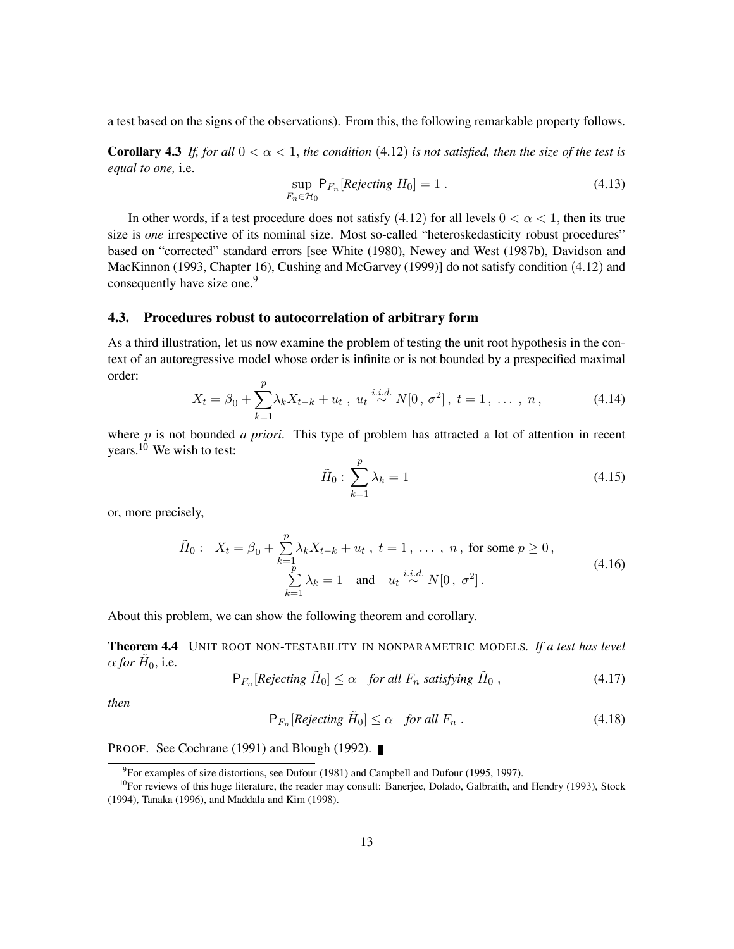a test based on the signs of the observations). From this, the following remarkable property follows.

**Corollary 4.3** *If, for all*  $0 < \alpha < 1$ *, the condition* (4.12) *is not satisfied, then the size of the test is equal to one,* i.e.

$$
\sup_{F_n \in \mathcal{H}_0} \mathsf{P}_{F_n}[Rejecting H_0] = 1. \tag{4.13}
$$

In other words, if a test procedure does not satisfy (4.12) for all levels  $0 < \alpha < 1$ , then its true size is *one* irrespective of its nominal size. Most so-called "heteroskedasticity robust procedures" based on "corrected" standard errors [see White (1980), Newey and West (1987b), Davidson and MacKinnon (1993, Chapter 16), Cushing and McGarvey (1999)] do not satisfy condition (4.12) and consequently have size one.<sup>9</sup>

### **4.3. Procedures robust to autocorrelation of arbitrary form**

As a third illustration, let us now examine the problem of testing the unit root hypothesis in the context of an autoregressive model whose order is infinite or is not bounded by a prespecified maximal order:

$$
X_t = \beta_0 + \sum_{k=1}^p \lambda_k X_{t-k} + u_t, \ u_t \stackrel{i.i.d.}{\sim} N[0, \sigma^2], \ t = 1, \ \dots \ , \ n, \tag{4.14}
$$

where p is not bounded *a priori*. This type of problem has attracted a lot of attention in recent years.<sup>10</sup> We wish to test:

$$
\tilde{H}_0: \sum_{k=1}^p \lambda_k = 1 \tag{4.15}
$$

or, more precisely,

$$
\tilde{H}_0: \quad X_t = \beta_0 + \sum_{k=1}^p \lambda_k X_{t-k} + u_t, \ t = 1, \ \dots \ , \ n, \text{ for some } p \ge 0, \\
\sum_{k=1}^p \lambda_k = 1 \quad \text{and} \quad u_t \stackrel{i.i.d.}{\sim} N[0, \ \sigma^2]. \tag{4.16}
$$

About this problem, we can show the following theorem and corollary.

**Theorem 4.4** UNIT ROOT NON-TESTABILITY IN NONPARAMETRIC MODELS*. If a test has level*  $\alpha$  *for*  $H_0$ , i.e.

$$
\mathsf{P}_{F_n}[Rejecting \ \tilde{H}_0] \leq \alpha \quad \text{for all } F_n \ \text{satisfying } \tilde{H}_0 \ , \tag{4.17}
$$

*then*

$$
P_{F_n}[Rejecting \tilde{H}_0] \le \alpha \quad \text{for all } F_n . \tag{4.18}
$$

PROOF. See Cochrane (1991) and Blough (1992). ■

 $^{9}$ For examples of size distortions, see Dufour (1981) and Campbell and Dufour (1995, 1997).

 $10$ For reviews of this huge literature, the reader may consult: Banerjee, Dolado, Galbraith, and Hendry (1993), Stock (1994), Tanaka (1996), and Maddala and Kim (1998).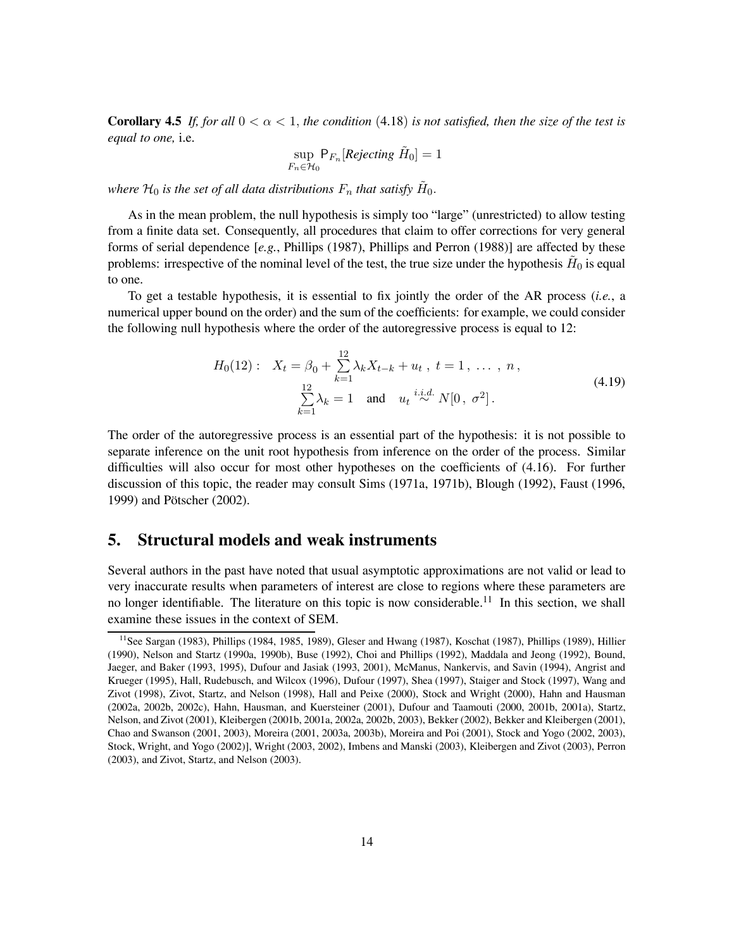**Corollary 4.5** *If, for all*  $0 < \alpha < 1$ *, the condition* (4.18) *is not satisfied, then the size of the test is equal to one,* i.e.

$$
\sup_{F_n \in \mathcal{H}_0} \mathsf{P}_{F_n}[Rejecting \ \tilde{H}_0] = 1
$$

*where*  $\mathcal{H}_0$  *is the set of all data distributions*  $F_n$  *that satisfy*  $\tilde{H}_0$ *.* 

As in the mean problem, the null hypothesis is simply too "large" (unrestricted) to allow testing from a finite data set. Consequently, all procedures that claim to offer corrections for very general forms of serial dependence [*e.g.*, Phillips (1987), Phillips and Perron (1988)] are affected by these problems: irrespective of the nominal level of the test, the true size under the hypothesis  $H_0$  is equal to one.

To get a testable hypothesis, it is essential to fix jointly the order of the AR process (*i.e.*, a numerical upper bound on the order) and the sum of the coefficients: for example, we could consider the following null hypothesis where the order of the autoregressive process is equal to 12:

$$
H_0(12): \quad X_t = \beta_0 + \sum_{k=1}^{12} \lambda_k X_{t-k} + u_t \,, \ t = 1, \ \dots \ , \ n \,,
$$
\n
$$
\sum_{k=1}^{12} \lambda_k = 1 \quad \text{and} \quad u_t \stackrel{i.i.d.}{\sim} N[0, \ \sigma^2].
$$
\n
$$
(4.19)
$$

The order of the autoregressive process is an essential part of the hypothesis: it is not possible to separate inference on the unit root hypothesis from inference on the order of the process. Similar difficulties will also occur for most other hypotheses on the coefficients of (4.16). For further discussion of this topic, the reader may consult Sims (1971a, 1971b), Blough (1992), Faust (1996, 1999) and Pötscher (2002).

## **5. Structural models and weak instruments**

Several authors in the past have noted that usual asymptotic approximations are not valid or lead to very inaccurate results when parameters of interest are close to regions where these parameters are no longer identifiable. The literature on this topic is now considerable.<sup>11</sup> In this section, we shall examine these issues in the context of SEM.

<sup>&</sup>lt;sup>11</sup>See Sargan (1983), Phillips (1984, 1985, 1989), Gleser and Hwang (1987), Koschat (1987), Phillips (1989), Hillier (1990), Nelson and Startz (1990a, 1990b), Buse (1992), Choi and Phillips (1992), Maddala and Jeong (1992), Bound, Jaeger, and Baker (1993, 1995), Dufour and Jasiak (1993, 2001), McManus, Nankervis, and Savin (1994), Angrist and Krueger (1995), Hall, Rudebusch, and Wilcox (1996), Dufour (1997), Shea (1997), Staiger and Stock (1997), Wang and Zivot (1998), Zivot, Startz, and Nelson (1998), Hall and Peixe (2000), Stock and Wright (2000), Hahn and Hausman (2002a, 2002b, 2002c), Hahn, Hausman, and Kuersteiner (2001), Dufour and Taamouti (2000, 2001b, 2001a), Startz, Nelson, and Zivot (2001), Kleibergen (2001b, 2001a, 2002a, 2002b, 2003), Bekker (2002), Bekker and Kleibergen (2001), Chao and Swanson (2001, 2003), Moreira (2001, 2003a, 2003b), Moreira and Poi (2001), Stock and Yogo (2002, 2003), Stock, Wright, and Yogo (2002)], Wright (2003, 2002), Imbens and Manski (2003), Kleibergen and Zivot (2003), Perron (2003), and Zivot, Startz, and Nelson (2003).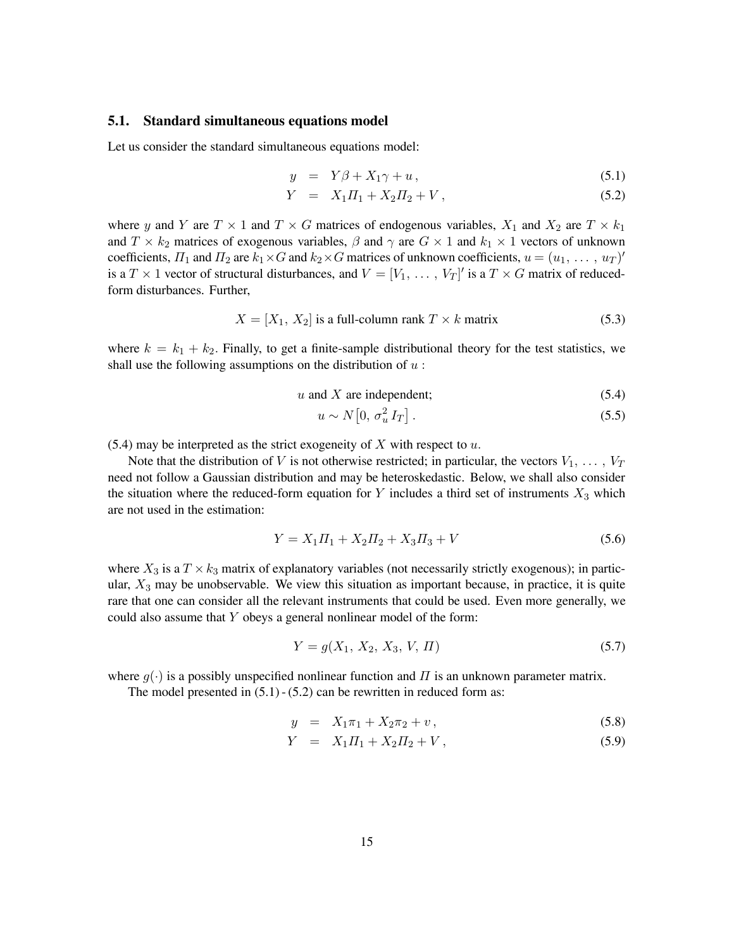#### **5.1. Standard simultaneous equations model**

Let us consider the standard simultaneous equations model:

$$
y = Y\beta + X_1\gamma + u, \qquad (5.1)
$$

$$
Y = X_1 \Pi_1 + X_2 \Pi_2 + V, \tag{5.2}
$$

where y and Y are  $T \times 1$  and  $T \times G$  matrices of endogenous variables,  $X_1$  and  $X_2$  are  $T \times k_1$ and  $T \times k_2$  matrices of exogenous variables,  $\beta$  and  $\gamma$  are  $G \times 1$  and  $k_1 \times 1$  vectors of unknown coefficients,  $\Pi_1$  and  $\Pi_2$  are  $k_1\times G$  and  $k_2\times G$  matrices of unknown coefficients,  $u=(u_1,\ldots, u_T)^\prime$ is a  $T \times 1$  vector of structural disturbances, and  $V = [V_1, \ldots, V_T]'$  is a  $T \times G$  matrix of reducedform disturbances. Further,

$$
X = [X_1, X_2]
$$
 is a full-column rank  $T \times k$  matrix (5.3)

where  $k = k_1 + k_2$ . Finally, to get a finite-sample distributional theory for the test statistics, we shall use the following assumptions on the distribution of  $u$ :

$$
u \text{ and } X \text{ are independent}; \tag{5.4}
$$

$$
u \sim N\left[0, \sigma_u^2 I_T\right].\tag{5.5}
$$

 $(5.4)$  may be interpreted as the strict exogeneity of X with respect to u.

Note that the distribution of V is not otherwise restricted; in particular, the vectors  $V_1, \ldots, V_T$ need not follow a Gaussian distribution and may be heteroskedastic. Below, we shall also consider the situation where the reduced-form equation for  $Y$  includes a third set of instruments  $X_3$  which are not used in the estimation:

$$
Y = X_1 \Pi_1 + X_2 \Pi_2 + X_3 \Pi_3 + V \tag{5.6}
$$

where  $X_3$  is a  $T \times k_3$  matrix of explanatory variables (not necessarily strictly exogenous); in particular,  $X_3$  may be unobservable. We view this situation as important because, in practice, it is quite rare that one can consider all the relevant instruments that could be used. Even more generally, we could also assume that  $Y$  obeys a general nonlinear model of the form:

$$
Y = g(X_1, X_2, X_3, V, \Pi) \tag{5.7}
$$

where  $g(\cdot)$  is a possibly unspecified nonlinear function and  $\Pi$  is an unknown parameter matrix.

The model presented in  $(5.1)$  -  $(5.2)$  can be rewritten in reduced form as:

$$
y = X_1 \pi_1 + X_2 \pi_2 + v, \tag{5.8}
$$

$$
Y = X_1 \Pi_1 + X_2 \Pi_2 + V, \tag{5.9}
$$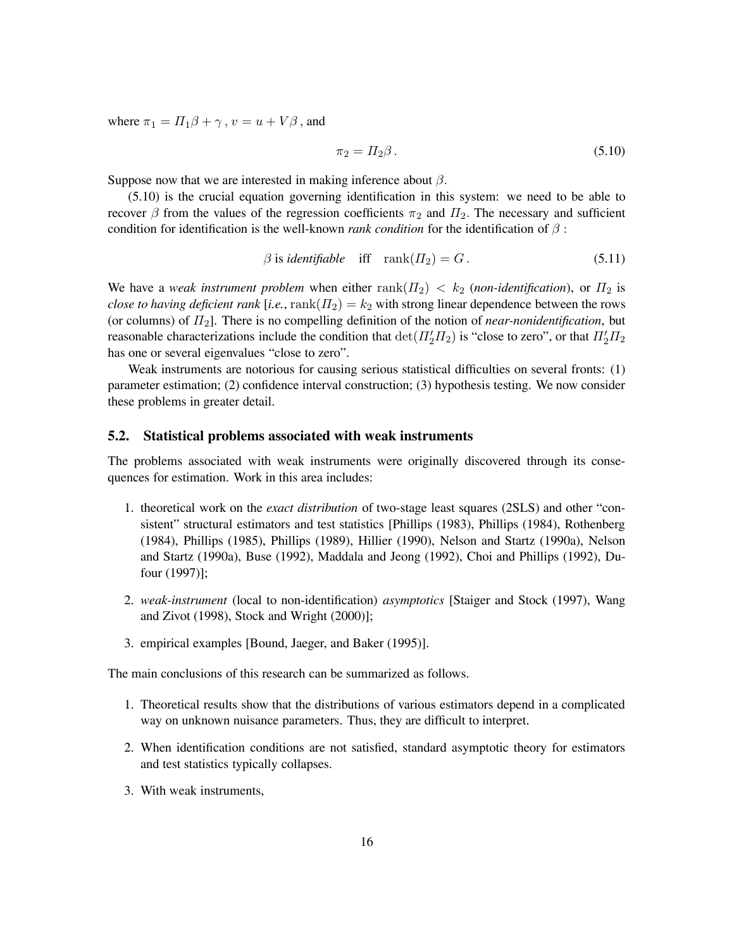where  $\pi_1 = \Pi_1 \beta + \gamma$ ,  $v = u + V \beta$ , and

$$
\pi_2 = \Pi_2 \beta \,. \tag{5.10}
$$

Suppose now that we are interested in making inference about  $\beta$ .

(5.10) is the crucial equation governing identification in this system: we need to be able to recover  $\beta$  from the values of the regression coefficients  $\pi_2$  and  $\Pi_2$ . The necessary and sufficient condition for identification is the well-known *rank condition* for the identification of  $\beta$ :

$$
\beta \text{ is } identifiable \quad \text{iff} \quad \text{rank}(H_2) = G. \tag{5.11}
$$

We have a *weak instrument problem* when either  $\text{rank}(H_2) < k_2$  (*non-identification*), or  $H_2$  is *close to having deficient rank* [*i.e.*,  $\text{rank}(\Pi_2) = k_2$  with strong linear dependence between the rows (or columns) of  $\Pi_2$ ]. There is no compelling definition of the notion of *near-nonidentification*, but reasonable characterizations include the condition that  $\det(\Pi'_2\Pi_2)$  is "close to zero", or that  $\Pi'_2\Pi_2$ has one or several eigenvalues "close to zero".

Weak instruments are notorious for causing serious statistical difficulties on several fronts: (1) parameter estimation; (2) confidence interval construction; (3) hypothesis testing. We now consider these problems in greater detail.

### **5.2. Statistical problems associated with weak instruments**

The problems associated with weak instruments were originally discovered through its consequences for estimation. Work in this area includes:

- 1. theoretical work on the *exact distribution* of two-stage least squares (2SLS) and other "consistent" structural estimators and test statistics [Phillips (1983), Phillips (1984), Rothenberg (1984), Phillips (1985), Phillips (1989), Hillier (1990), Nelson and Startz (1990a), Nelson and Startz (1990a), Buse (1992), Maddala and Jeong (1992), Choi and Phillips (1992), Dufour (1997)];
- 2. *weak-instrument* (local to non-identification) *asymptotics* [Staiger and Stock (1997), Wang and Zivot (1998), Stock and Wright (2000)];
- 3. empirical examples [Bound, Jaeger, and Baker (1995)].

The main conclusions of this research can be summarized as follows.

- 1. Theoretical results show that the distributions of various estimators depend in a complicated way on unknown nuisance parameters. Thus, they are difficult to interpret.
- 2. When identification conditions are not satisfied, standard asymptotic theory for estimators and test statistics typically collapses.
- 3. With weak instruments,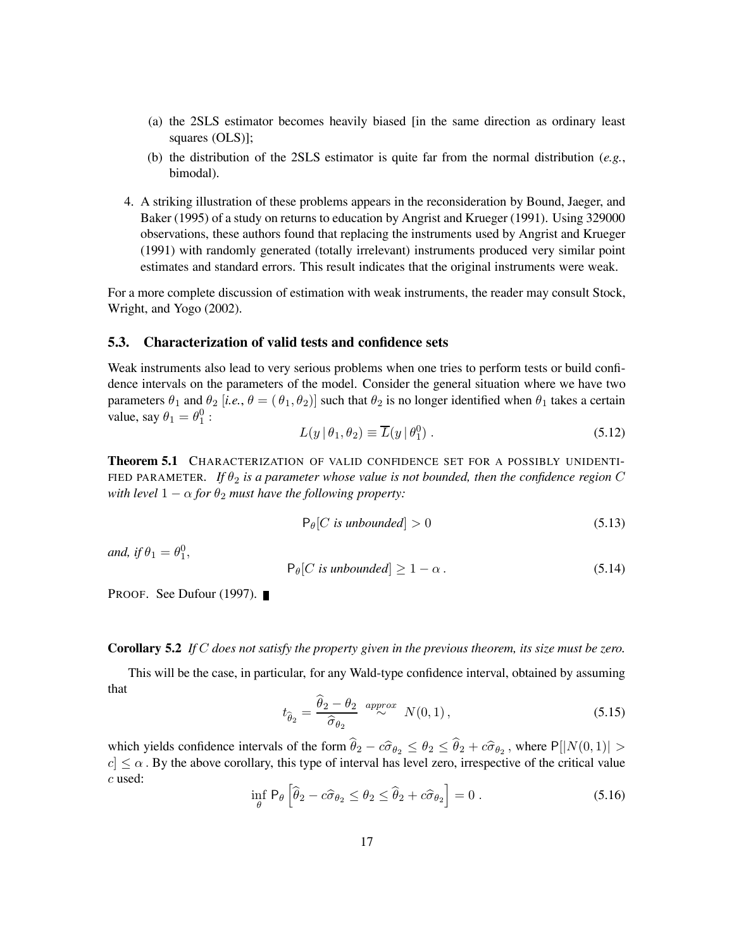- (a) the 2SLS estimator becomes heavily biased [in the same direction as ordinary least squares (OLS)];
- (b) the distribution of the 2SLS estimator is quite far from the normal distribution (*e.g.*, bimodal).
- 4. A striking illustration of these problems appears in the reconsideration by Bound, Jaeger, and Baker (1995) of a study on returns to education by Angrist and Krueger (1991). Using 329000 observations, these authors found that replacing the instruments used by Angrist and Krueger (1991) with randomly generated (totally irrelevant) instruments produced very similar point estimates and standard errors. This result indicates that the original instruments were weak.

For a more complete discussion of estimation with weak instruments, the reader may consult Stock, Wright, and Yogo (2002).

### **5.3. Characterization of valid tests and confidence sets**

Weak instruments also lead to very serious problems when one tries to perform tests or build confidence intervals on the parameters of the model. Consider the general situation where we have two parameters  $\theta_1$  and  $\theta_2$  [*i.e.*,  $\theta = (\theta_1, \theta_2)$ ] such that  $\theta_2$  is no longer identified when  $\theta_1$  takes a certain value, say  $\theta_1 = \theta_1^0$ :

$$
L(y | \theta_1, \theta_2) \equiv \overline{L}(y | \theta_1^0) \tag{5.12}
$$

**Theorem 5.1** CHARACTERIZATION OF VALID CONFIDENCE SET FOR A POSSIBLY UNIDENTI-FIED PARAMETER. If  $\theta_2$  is a parameter whose value is not bounded, then the confidence region C *with level*  $1 - \alpha$  *for*  $\theta_2$  *must have the following property:* 

$$
P_{\theta}[C \text{ is unbounded}] > 0 \tag{5.13}
$$

*and, if*  $\theta_1 = \theta_1^0$ ,

$$
P_{\theta}[C \text{ is unbounded}] \ge 1 - \alpha. \tag{5.14}
$$

PROOF. See Dufour (1997). ■

### **Corollary 5.2** *If* C *does not satisfy the property given in the previous theorem, its size must be zero.*

This will be the case, in particular, for any Wald-type confidence interval, obtained by assuming that

$$
t_{\hat{\theta}_2} = \frac{\hat{\theta}_2 - \theta_2}{\hat{\sigma}_{\theta_2}} \stackrel{approx}{\sim} N(0, 1), \qquad (5.15)
$$

which yields confidence intervals of the form  $\theta_2 - c\hat{\sigma}_{\theta_2} \le \theta_2 \le \theta_2 + c\hat{\sigma}_{\theta_2}$ , where  $P[|N(0, 1)| >$  $c \leq \alpha$ . By the above corollary, this type of interval has level zero, irrespective of the critical value c used:

$$
\inf_{\theta} \mathsf{P}_{\theta} \left[ \hat{\theta}_2 - c \hat{\sigma}_{\theta_2} \le \theta_2 \le \hat{\theta}_2 + c \hat{\sigma}_{\theta_2} \right] = 0 \,. \tag{5.16}
$$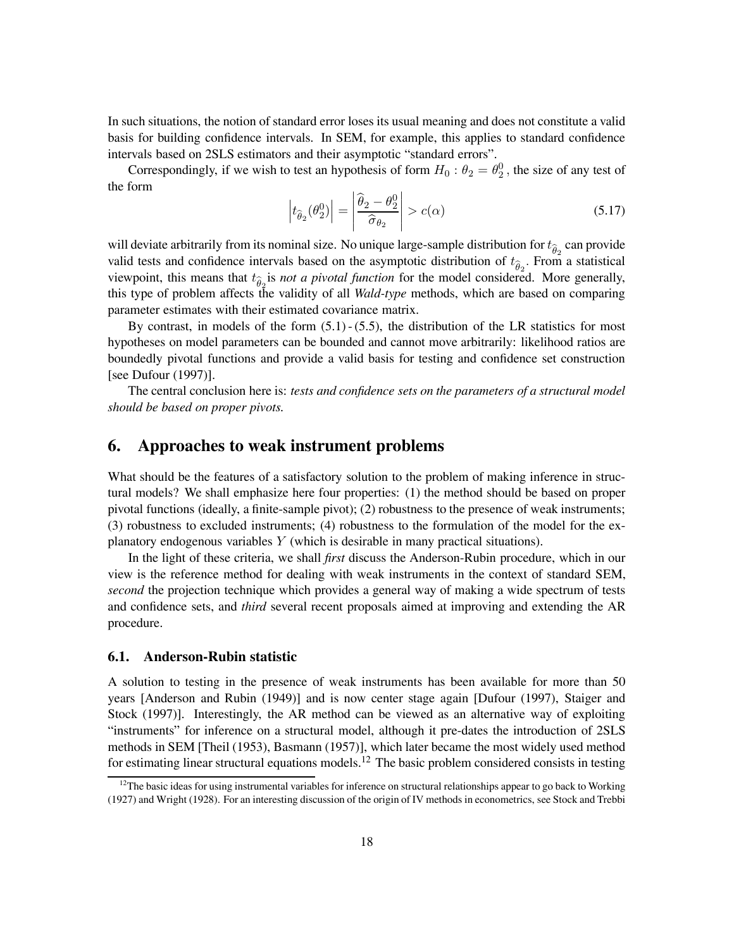In such situations, the notion of standard error loses its usual meaning and does not constitute a valid basis for building confidence intervals. In SEM, for example, this applies to standard confidence intervals based on 2SLS estimators and their asymptotic "standard errors".

Correspondingly, if we wish to test an hypothesis of form  $H_0$  :  $\theta_2 = \theta_2^0$ , the size of any test of the form

$$
\left| t_{\hat{\theta}_2}(\theta_2^0) \right| = \left| \frac{\hat{\theta}_2 - \theta_2^0}{\hat{\sigma}_{\theta_2}} \right| > c(\alpha)
$$
\n(5.17)

will deviate arbitrarily from its nominal size. No unique large-sample distribution for  $t_{\hat{\theta}_2}$  can provide valid tests and confidence intervals based on the asymptotic distribution of  $t_{\hat{\theta}_2}$ . From a statistical viewpoint, this means that  $t_{\hat{\theta}_2}$  is *not a pivotal function* for the model considered. More generally, this type of problem affects the validity of all *Wald-type* methods, which are based on comparing parameter estimates with their estimated covariance matrix.

By contrast, in models of the form (5.1) - (5.5), the distribution of the LR statistics for most hypotheses on model parameters can be bounded and cannot move arbitrarily: likelihood ratios are boundedly pivotal functions and provide a valid basis for testing and confidence set construction [see Dufour (1997)].

The central conclusion here is: *tests and confidence sets on the parameters of a structural model should be based on proper pivots.*

### **6. Approaches to weak instrument problems**

What should be the features of a satisfactory solution to the problem of making inference in structural models? We shall emphasize here four properties: (1) the method should be based on proper pivotal functions (ideally, a finite-sample pivot); (2) robustness to the presence of weak instruments; (3) robustness to excluded instruments; (4) robustness to the formulation of the model for the explanatory endogenous variables  $Y$  (which is desirable in many practical situations).

In the light of these criteria, we shall *first* discuss the Anderson-Rubin procedure, which in our view is the reference method for dealing with weak instruments in the context of standard SEM, *second* the projection technique which provides a general way of making a wide spectrum of tests and confidence sets, and *third* several recent proposals aimed at improving and extending the AR procedure.

#### **6.1. Anderson-Rubin statistic**

A solution to testing in the presence of weak instruments has been available for more than 50 years [Anderson and Rubin (1949)] and is now center stage again [Dufour (1997), Staiger and Stock (1997)]. Interestingly, the AR method can be viewed as an alternative way of exploiting "instruments" for inference on a structural model, although it pre-dates the introduction of 2SLS methods in SEM [Theil (1953), Basmann (1957)], which later became the most widely used method for estimating linear structural equations models.<sup>12</sup> The basic problem considered consists in testing

<sup>&</sup>lt;sup>12</sup>The basic ideas for using instrumental variables for inference on structural relationships appear to go back to Working (1927) and Wright (1928). For an interesting discussion of the origin of IV methods in econometrics, see Stock and Trebbi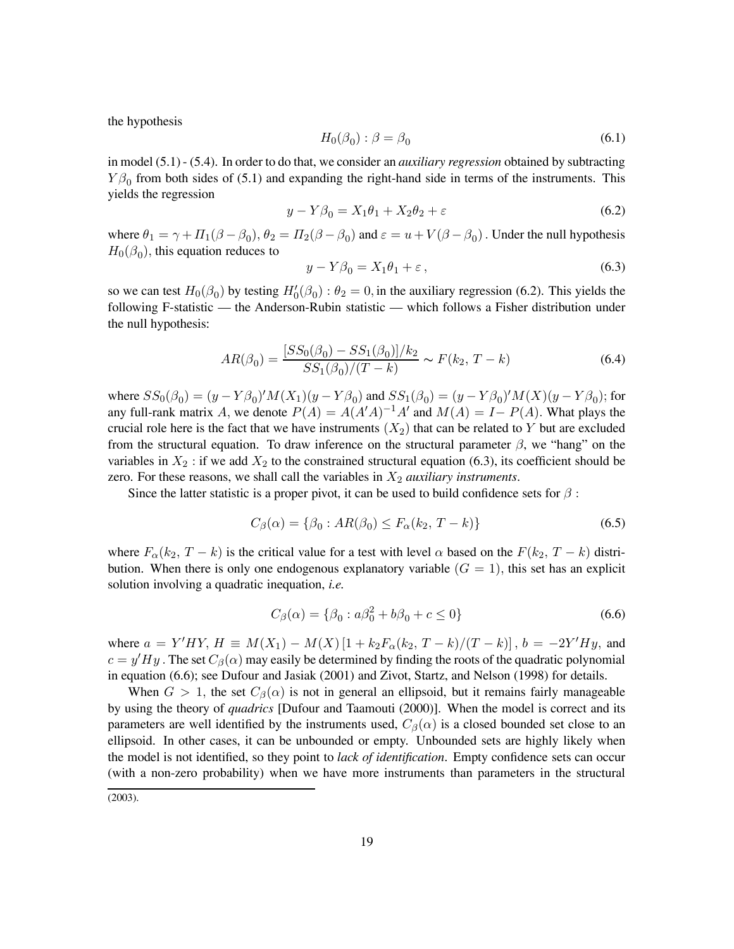the hypothesis

$$
H_0(\beta_0) : \beta = \beta_0 \tag{6.1}
$$

in model (5.1) - (5.4). In order to do that, we consider an *auxiliary regression* obtained by subtracting  $Y\beta_0$  from both sides of (5.1) and expanding the right-hand side in terms of the instruments. This yields the regression

$$
y - Y\beta_0 = X_1\theta_1 + X_2\theta_2 + \varepsilon \tag{6.2}
$$

where  $\theta_1 = \gamma + \Pi_1(\beta - \beta_0), \theta_2 = \Pi_2(\beta - \beta_0)$  and  $\varepsilon = u + V(\beta - \beta_0)$ . Under the null hypothesis  $H_0(\beta_0)$ , this equation reduces to

$$
y - Y\beta_0 = X_1\theta_1 + \varepsilon, \qquad (6.3)
$$

so we can test  $H_0(\beta_0)$  by testing  $H_0'(\beta_0)$ :  $\theta_2 = 0$ , in the auxiliary regression (6.2). This yields the following F-statistic — the Anderson-Rubin statistic — which follows a Fisher distribution under the null hypothesis:

$$
AR(\beta_0) = \frac{[SS_0(\beta_0) - SS_1(\beta_0)]/k_2}{SS_1(\beta_0)/(T - k)} \sim F(k_2, T - k)
$$
\n(6.4)

where  $SS_0(\beta_0) = (y - Y\beta_0)'M(X_1)(y - Y\beta_0)$  and  $SS_1(\beta_0) = (y - Y\beta_0)'M(X)(y - Y\beta_0)$ ; for any full-rank matrix A, we denote  $P(A) = A(A'A)^{-1}A'$  and  $M(A) = I - P(A)$ . What plays the crucial role here is the fact that we have instruments  $(X_2)$  that can be related to Y but are excluded from the structural equation. To draw inference on the structural parameter  $\beta$ , we "hang" on the variables in  $X_2$ : if we add  $X_2$  to the constrained structural equation (6.3), its coefficient should be zero. For these reasons, we shall call the variables in  $X_2$  *auxiliary instruments*.

Since the latter statistic is a proper pivot, it can be used to build confidence sets for  $\beta$ :

$$
C_{\beta}(\alpha) = \{ \beta_0 : AR(\beta_0) \le F_{\alpha}(k_2, T - k) \}
$$
\n
$$
(6.5)
$$

where  $F_{\alpha}(k_2, T - k)$  is the critical value for a test with level  $\alpha$  based on the  $F(k_2, T - k)$  distribution. When there is only one endogenous explanatory variable  $(G = 1)$ , this set has an explicit solution involving a quadratic inequation, *i.e.*

$$
C_{\beta}(\alpha) = \{\beta_0 : a\beta_0^2 + b\beta_0 + c \le 0\}
$$
\n(6.6)

where  $a = Y'HY$ ,  $H \equiv M(X_1) - M(X) [1 + k_2 F_\alpha(k_2, T - k)/(T - k)]$ ,  $b = -2Y'Hy$ , and  $c = y'Hy$ . The set  $C_{\beta}(\alpha)$  may easily be determined by finding the roots of the quadratic polynomial in equation (6.6); see Dufour and Jasiak (2001) and Zivot, Startz, and Nelson (1998) for details.

When  $G > 1$ , the set  $C_\beta(\alpha)$  is not in general an ellipsoid, but it remains fairly manageable by using the theory of *quadrics* [Dufour and Taamouti (2000)]. When the model is correct and its parameters are well identified by the instruments used,  $C_\beta(\alpha)$  is a closed bounded set close to an ellipsoid. In other cases, it can be unbounded or empty. Unbounded sets are highly likely when the model is not identified, so they point to *lack of identification*. Empty confidence sets can occur (with a non-zero probability) when we have more instruments than parameters in the structural

(2003).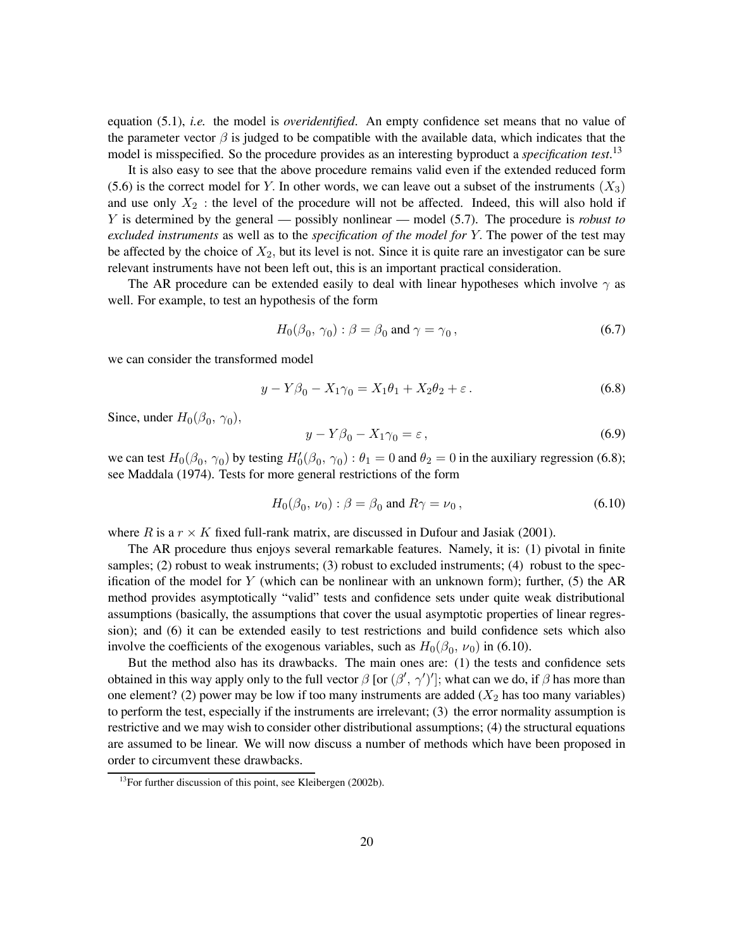equation (5.1), *i.e.* the model is *overidentified*. An empty confidence set means that no value of the parameter vector  $\beta$  is judged to be compatible with the available data, which indicates that the model is misspecified. So the procedure provides as an interesting byproduct a *specification test*. 13

It is also easy to see that the above procedure remains valid even if the extended reduced form (5.6) is the correct model for Y. In other words, we can leave out a subset of the instruments  $(X_3)$ and use only  $X_2$ : the level of the procedure will not be affected. Indeed, this will also hold if Y is determined by the general — possibly nonlinear — model (5.7). The procedure is *robust to excluded instruments* as well as to the *specification of the model for* Y. The power of the test may be affected by the choice of  $X_2$ , but its level is not. Since it is quite rare an investigator can be sure relevant instruments have not been left out, this is an important practical consideration.

The AR procedure can be extended easily to deal with linear hypotheses which involve  $\gamma$  as well. For example, to test an hypothesis of the form

$$
H_0(\beta_0, \gamma_0) : \beta = \beta_0 \text{ and } \gamma = \gamma_0,
$$
\n(6.7)

we can consider the transformed model

$$
y - Y\beta_0 - X_1\gamma_0 = X_1\theta_1 + X_2\theta_2 + \varepsilon.
$$
 (6.8)

Since, under  $H_0(\beta_0, \gamma_0)$ ,

$$
y - Y\beta_0 - X_1\gamma_0 = \varepsilon, \qquad (6.9)
$$

we can test  $H_0(\beta_0, \gamma_0)$  by testing  $H'_0(\beta_0, \gamma_0)$  :  $\theta_1 = 0$  and  $\theta_2 = 0$  in the auxiliary regression (6.8); see Maddala (1974). Tests for more general restrictions of the form

$$
H_0(\beta_0, \nu_0) : \beta = \beta_0 \text{ and } R\gamma = \nu_0,
$$
\n
$$
(6.10)
$$

where R is a  $r \times K$  fixed full-rank matrix, are discussed in Dufour and Jasiak (2001).

The AR procedure thus enjoys several remarkable features. Namely, it is: (1) pivotal in finite samples; (2) robust to weak instruments; (3) robust to excluded instruments; (4) robust to the specification of the model for Y (which can be nonlinear with an unknown form); further,  $(5)$  the AR method provides asymptotically "valid" tests and confidence sets under quite weak distributional assumptions (basically, the assumptions that cover the usual asymptotic properties of linear regression); and (6) it can be extended easily to test restrictions and build confidence sets which also involve the coefficients of the exogenous variables, such as  $H_0(\beta_0, \nu_0)$  in (6.10).

But the method also has its drawbacks. The main ones are: (1) the tests and confidence sets obtained in this way apply only to the full vector  $\beta$  [or  $(\beta', \gamma')'$ ]; what can we do, if  $\beta$  has more than one element? (2) power may be low if too many instruments are added  $(X_2$  has too many variables) to perform the test, especially if the instruments are irrelevant; (3) the error normality assumption is restrictive and we may wish to consider other distributional assumptions; (4) the structural equations are assumed to be linear. We will now discuss a number of methods which have been proposed in order to circumvent these drawbacks.

<sup>&</sup>lt;sup>13</sup>For further discussion of this point, see Kleibergen (2002b).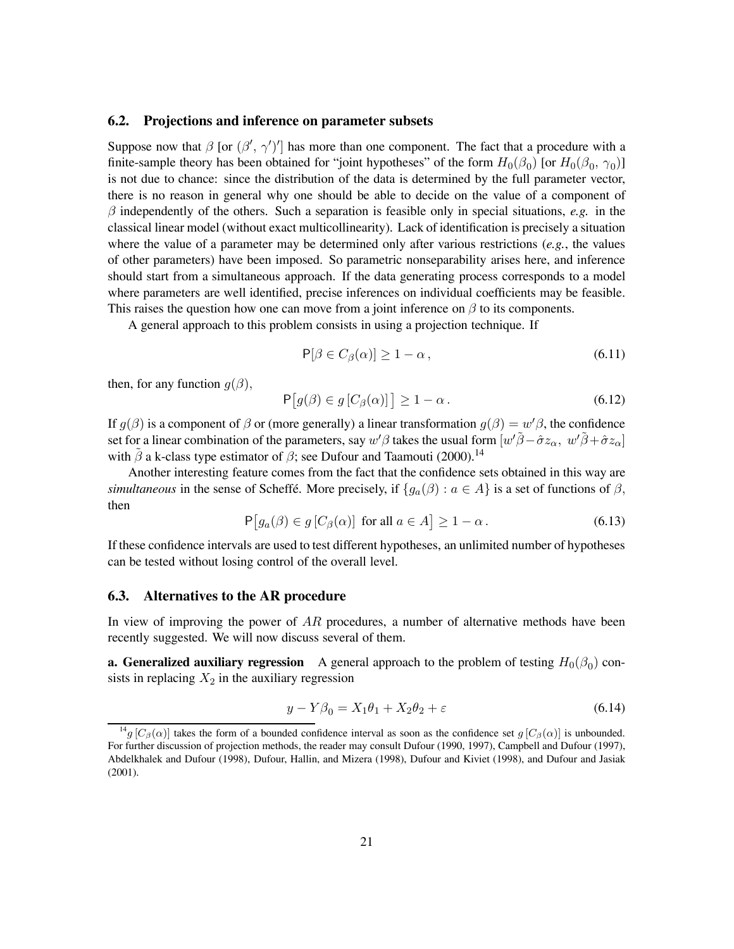#### **6.2. Projections and inference on parameter subsets**

Suppose now that  $\beta$  [or  $(\beta', \gamma')'$ ] has more than one component. The fact that a procedure with a finite-sample theory has been obtained for "joint hypotheses" of the form  $H_0(\beta_0)$  [or  $H_0(\beta_0, \gamma_0)$ ] is not due to chance: since the distribution of the data is determined by the full parameter vector, there is no reason in general why one should be able to decide on the value of a component of  $\beta$  independently of the others. Such a separation is feasible only in special situations, *e.g.* in the classical linear model (without exact multicollinearity). Lack of identification is precisely a situation where the value of a parameter may be determined only after various restrictions (*e.g.*, the values of other parameters) have been imposed. So parametric nonseparability arises here, and inference should start from a simultaneous approach. If the data generating process corresponds to a model where parameters are well identified, precise inferences on individual coefficients may be feasible. This raises the question how one can move from a joint inference on  $\beta$  to its components.

A general approach to this problem consists in using a projection technique. If

$$
\mathsf{P}[\beta \in C_{\beta}(\alpha)] \ge 1 - \alpha\,,\tag{6.11}
$$

then, for any function  $g(\beta)$ ,

$$
\mathsf{P}\big[g(\beta) \in g\left[C_{\beta}(\alpha)\right]\big] \ge 1 - \alpha. \tag{6.12}
$$

If  $g(\beta)$  is a component of  $\beta$  or (more generally) a linear transformation  $g(\beta) = w' \beta$ , the confidence set for a linear combination of the parameters, say  $w'\beta$  takes the usual form  $[w'\tilde{\beta} - \hat{\sigma}z_{\alpha}, w'\tilde{\beta} + \hat{\sigma}z_{\alpha}]$ with  $\hat{\beta}$  a k-class type estimator of  $\beta$ ; see Dufour and Taamouti (2000).<sup>14</sup>

Another interesting feature comes from the fact that the confidence sets obtained in this way are *simultaneous* in the sense of Scheffé. More precisely, if  $\{g_a(\beta) : a \in A\}$  is a set of functions of  $\beta$ , then

$$
\mathsf{P}\big[g_a(\beta) \in g\left[C_{\beta}(\alpha)\right] \text{ for all } a \in A\big] \ge 1 - \alpha. \tag{6.13}
$$

If these confidence intervals are used to test different hypotheses, an unlimited number of hypotheses can be tested without losing control of the overall level.

#### **6.3. Alternatives to the AR procedure**

In view of improving the power of  $AR$  procedures, a number of alternative methods have been recently suggested. We will now discuss several of them.

**a. Generalized auxiliary regression** A general approach to the problem of testing  $H_0(\beta_0)$  consists in replacing  $X_2$  in the auxiliary regression

$$
y - Y\beta_0 = X_1\theta_1 + X_2\theta_2 + \varepsilon \tag{6.14}
$$

<sup>&</sup>lt;sup>14</sup>g [C<sub>β</sub>( $\alpha$ )] takes the form of a bounded confidence interval as soon as the confidence set g [C<sub>β</sub>( $\alpha$ )] is unbounded. For further discussion of projection methods, the reader may consult Dufour (1990, 1997), Campbell and Dufour (1997), Abdelkhalek and Dufour (1998), Dufour, Hallin, and Mizera (1998), Dufour and Kiviet (1998), and Dufour and Jasiak (2001).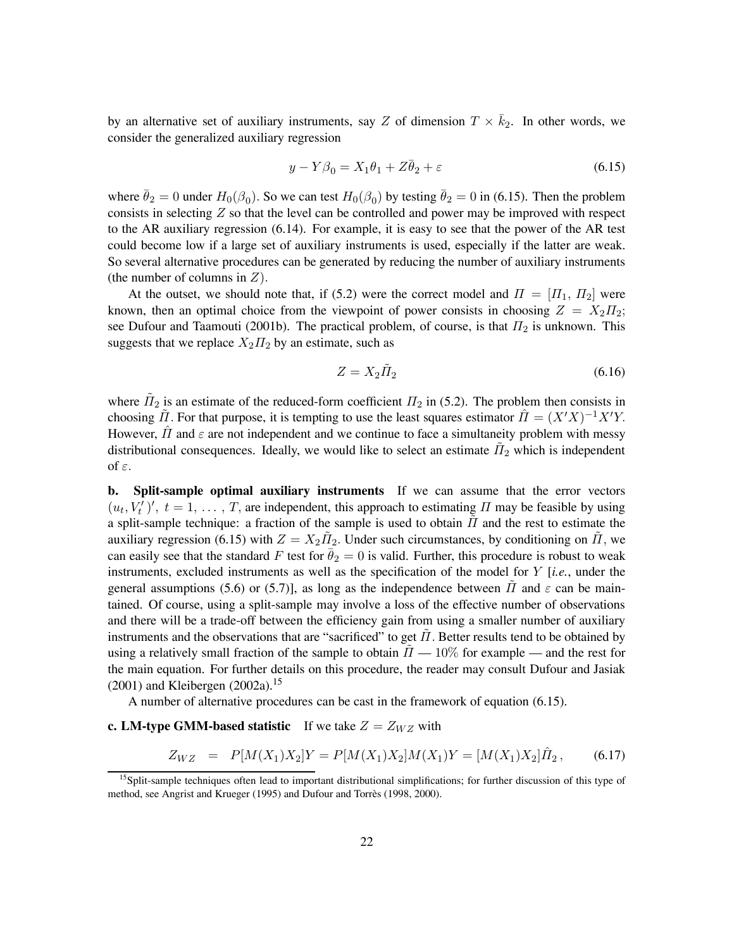by an alternative set of auxiliary instruments, say Z of dimension  $T \times \bar{k}_2$ . In other words, we consider the generalized auxiliary regression

$$
y - Y\beta_0 = X_1\theta_1 + Z\overline{\theta}_2 + \varepsilon \tag{6.15}
$$

where  $\bar{\theta}_2 = 0$  under  $H_0(\beta_0)$ . So we can test  $H_0(\beta_0)$  by testing  $\bar{\theta}_2 = 0$  in (6.15). Then the problem consists in selecting  $Z$  so that the level can be controlled and power may be improved with respect to the AR auxiliary regression (6.14). For example, it is easy to see that the power of the AR test could become low if a large set of auxiliary instruments is used, especially if the latter are weak. So several alternative procedures can be generated by reducing the number of auxiliary instruments (the number of columns in  $Z$ ).

At the outset, we should note that, if (5.2) were the correct model and  $\Pi = [\Pi_1, \Pi_2]$  were known, then an optimal choice from the viewpoint of power consists in choosing  $Z = X_2 \Pi_2$ ; see Dufour and Taamouti (2001b). The practical problem, of course, is that  $\Pi_2$  is unknown. This suggests that we replace  $X_2\Pi_2$  by an estimate, such as

$$
Z = X_2 \tilde{\Pi}_2 \tag{6.16}
$$

where  $\Pi_2$  is an estimate of the reduced-form coefficient  $\Pi_2$  in (5.2). The problem then consists in choosing  $\tilde{\Pi}$ . For that purpose, it is tempting to use the least squares estimator  $\hat{\Pi} = (X'X)^{-1}X'Y$ . However,  $\hat{\Pi}$  and  $\varepsilon$  are not independent and we continue to face a simultaneity problem with messy distributional consequences. Ideally, we would like to select an estimate  $\Pi_2$  which is independent of  $\varepsilon$ .

**b. Split-sample optimal auxiliary instruments** If we can assume that the error vectors  $(u_t, V_t')'$ ,  $t = 1, \ldots, T$ , are independent, this approach to estimating  $\Pi$  may be feasible by using a split-sample technique: a fraction of the sample is used to obtain  $\Pi$  and the rest to estimate the auxiliary regression (6.15) with  $Z = X_2 \overline{\Pi}_2$ . Under such circumstances, by conditioning on  $\Pi$ , we can easily see that the standard F test for  $\bar{\theta}_2 = 0$  is valid. Further, this procedure is robust to weak instruments, excluded instruments as well as the specification of the model for Y [*i.e.*, under the general assumptions (5.6) or (5.7)], as long as the independence between  $\Pi$  and  $\varepsilon$  can be maintained. Of course, using a split-sample may involve a loss of the effective number of observations and there will be a trade-off between the efficiency gain from using a smaller number of auxiliary instruments and the observations that are "sacrificed" to get  $\hat{II}$ . Better results tend to be obtained by using a relatively small fraction of the sample to obtain  $\Pi - 10\%$  for example — and the rest for the main equation. For further details on this procedure, the reader may consult Dufour and Jasiak  $(2001)$  and Kleibergen  $(2002a)$ .<sup>15</sup>

A number of alternative procedures can be cast in the framework of equation (6.15).

## **c. LM-type GMM-based statistic** If we take  $Z = Z_{WZ}$  with

$$
Z_{WZ} = P[M(X_1)X_2]Y = P[M(X_1)X_2]M(X_1)Y = [M(X_1)X_2]\hat{H}_2, \quad (6.17)
$$

<sup>&</sup>lt;sup>15</sup>Split-sample techniques often lead to important distributional simplifications; for further discussion of this type of method, see Angrist and Krueger (1995) and Dufour and Torrès (1998, 2000).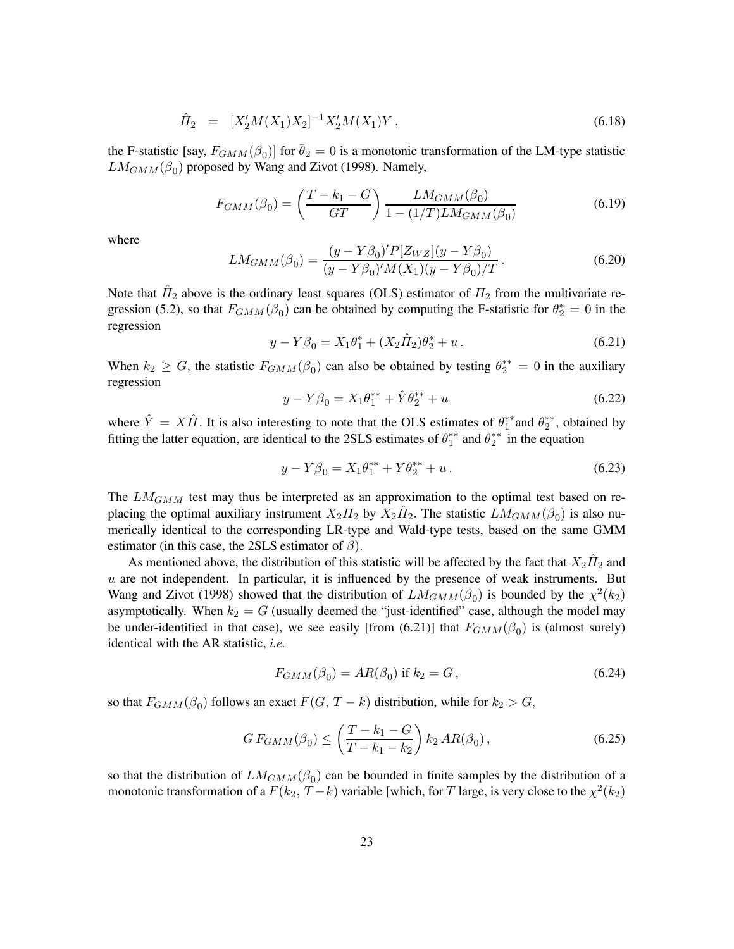$$
\hat{\Pi}_2 = [X_2'M(X_1)X_2]^{-1}X_2'M(X_1)Y, \qquad (6.18)
$$

the F-statistic [say,  $F_{GMM}(\beta_0)$ ] for  $\bar{\theta}_2 = 0$  is a monotonic transformation of the LM-type statistic  $LM_{GMM}(\beta_0)$  proposed by Wang and Zivot (1998). Namely,

$$
F_{GMM}(\beta_0) = \left(\frac{T - k_1 - G}{GT}\right) \frac{LM_{GMM}(\beta_0)}{1 - (1/T)LM_{GMM}(\beta_0)}
$$
(6.19)

where

$$
LM_{GMM}(\beta_0) = \frac{(y - Y\beta_0)'P[Z_{WZ}](y - Y\beta_0)}{(y - Y\beta_0)'M(X_1)(y - Y\beta_0)/T}.
$$
\n(6.20)

Note that  $\hat{\Pi}_2$  above is the ordinary least squares (OLS) estimator of  $\Pi_2$  from the multivariate regression (5.2), so that  $F_{GMM}(\beta_0)$  can be obtained by computing the F-statistic for  $\theta_2^* = 0$  in the regression

$$
y - Y\beta_0 = X_1\theta_1^* + (X_2\hat{\Pi}_2)\theta_2^* + u.
$$
\n(6.21)

When  $k_2 \geq G$ , the statistic  $F_{GMM}(\beta_0)$  can also be obtained by testing  $\theta_2^{**} = 0$  in the auxiliary regression

$$
y - Y\beta_0 = X_1 \theta_1^{**} + \hat{Y} \theta_2^{**} + u \tag{6.22}
$$

where  $\hat{Y} = X\hat{\Pi}$ . It is also interesting to note that the OLS estimates of  $\theta_1^{**}$  and  $\theta_2^{**}$ , obtained by fitting the latter equation, are identical to the 2SLS estimates of  $\theta_1^{**}$  and  $\theta_2^{**}$  in the equation

$$
y - Y\beta_0 = X_1 \theta_1^{**} + Y \theta_2^{**} + u. \tag{6.23}
$$

The  $LM_{GMM}$  test may thus be interpreted as an approximation to the optimal test based on replacing the optimal auxiliary instrument  $X_2\Pi_2$  by  $X_2\Pi_2$ . The statistic  $LM_{GMM}(\beta_0)$  is also numerically identical to the corresponding LR-type and Wald-type tests, based on the same GMM estimator (in this case, the 2SLS estimator of  $\beta$ ).

As mentioned above, the distribution of this statistic will be affected by the fact that  $X_2\hat{\Pi}_2$  and  $u$  are not independent. In particular, it is influenced by the presence of weak instruments. But Wang and Zivot (1998) showed that the distribution of  $LM_{GMM}(\beta_0)$  is bounded by the  $\chi^2(k_2)$ asymptotically. When  $k_2 = G$  (usually deemed the "just-identified" case, although the model may be under-identified in that case), we see easily [from (6.21)] that  $F_{GMM}(\beta_0)$  is (almost surely) identical with the AR statistic, *i.e.*

$$
F_{GMM}(\beta_0) = AR(\beta_0) \text{ if } k_2 = G,
$$
\n
$$
(6.24)
$$

so that  $F_{GMM}(\beta_0)$  follows an exact  $F(G, T - k)$  distribution, while for  $k_2 > G$ ,

$$
GF_{GMM}(\beta_0) \le \left(\frac{T - k_1 - G}{T - k_1 - k_2}\right) k_2 AR(\beta_0), \tag{6.25}
$$

so that the distribution of  $LM_{GMM}(\beta_0)$  can be bounded in finite samples by the distribution of a monotonic transformation of a  $F(k_2, T-k)$  variable [which, for T large, is very close to the  $\chi^2(k_2)$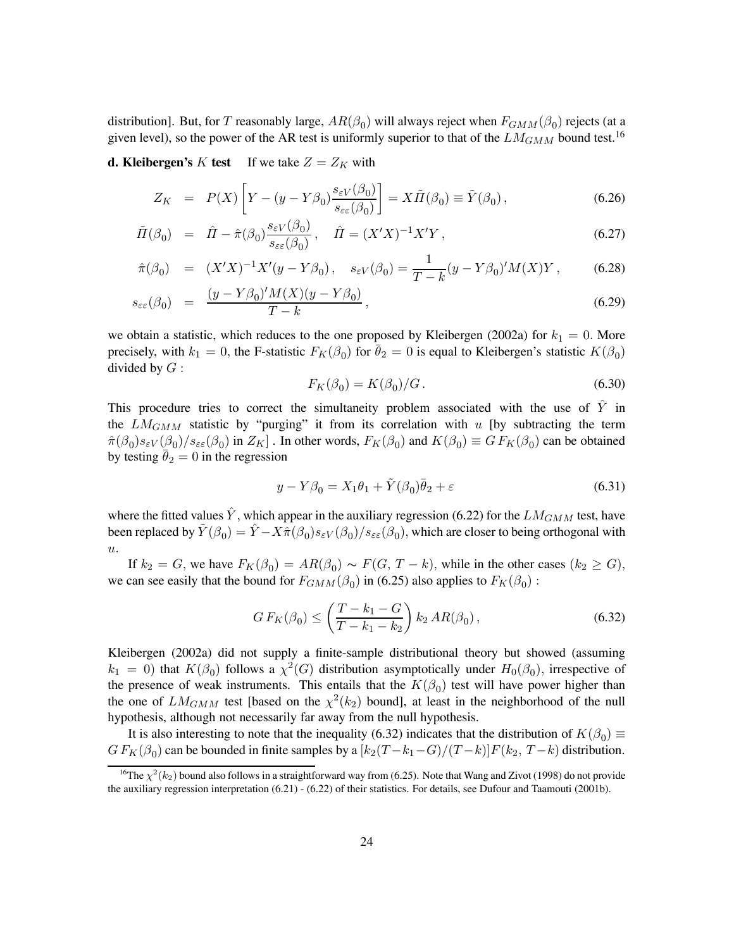distribution]. But, for T reasonably large,  $AR(\beta_0)$  will always reject when  $F_{GMM}(\beta_0)$  rejects (at a given level), so the power of the AR test is uniformly superior to that of the  $LM_{GMM}$  bound test.<sup>16</sup>

**d. Kleibergen's** K **test** If we take  $Z = Z_K$  with

$$
Z_K = P(X) \left[ Y - (y - Y\beta_0) \frac{s_{\varepsilon V}(\beta_0)}{s_{\varepsilon \varepsilon}(\beta_0)} \right] = X \tilde{\Pi}(\beta_0) \equiv \tilde{Y}(\beta_0), \tag{6.26}
$$

$$
\tilde{\Pi}(\beta_0) = \hat{\Pi} - \hat{\pi}(\beta_0) \frac{s_{\varepsilon V}(\beta_0)}{s_{\varepsilon \varepsilon}(\beta_0)}, \quad \hat{\Pi} = (X'X)^{-1}X'Y, \tag{6.27}
$$

$$
\hat{\pi}(\beta_0) = (X'X)^{-1}X'(y - Y\beta_0), \quad s_{\varepsilon V}(\beta_0) = \frac{1}{T - k}(y - Y\beta_0)'M(X)Y, \quad (6.28)
$$

$$
s_{\varepsilon\varepsilon}(\beta_0) = \frac{(y - Y\beta_0)'M(X)(y - Y\beta_0)}{T - k},
$$
\n(6.29)

we obtain a statistic, which reduces to the one proposed by Kleibergen (2002a) for  $k_1 = 0$ . More precisely, with  $k_1 = 0$ , the F-statistic  $F_K(\beta_0)$  for  $\bar{\theta}_2 = 0$  is equal to Kleibergen's statistic  $K(\beta_0)$ divided by  $G$  :

$$
F_K(\beta_0) = K(\beta_0)/G. \tag{6.30}
$$

This procedure tries to correct the simultaneity problem associated with the use of  $\hat{Y}$  in the  $LM_{GMM}$  statistic by "purging" it from its correlation with  $u$  [by subtracting the term  $\hat{\pi}(\beta_0)s_{\varepsilon V}(\beta_0)/s_{\varepsilon\epsilon}(\beta_0)$  in  $Z_K$ . In other words,  $F_K(\beta_0)$  and  $K(\beta_0) \equiv G F_K(\beta_0)$  can be obtained by testing  $\bar{\theta}_2 = 0$  in the regression

$$
y - Y\beta_0 = X_1\theta_1 + \tilde{Y}(\beta_0)\bar{\theta}_2 + \varepsilon
$$
\n(6.31)

where the fitted values  $\hat{Y}$ , which appear in the auxiliary regression (6.22) for the  $LM_{GMM}$  test, have been replaced by  $\tilde{Y}(\beta_0) = \hat{Y} - X\hat{\pi}(\beta_0)s_{\varepsilon V}(\beta_0)/s_{\varepsilon \varepsilon}(\beta_0)$ , which are closer to being orthogonal with u.

If  $k_2 = G$ , we have  $F_K(\beta_0) = AR(\beta_0) \sim F(G, T - k)$ , while in the other cases  $(k_2 \geq G)$ , we can see easily that the bound for  $F_{GMM}(\beta_0)$  in (6.25) also applies to  $F_K(\beta_0)$ :

$$
G F_K(\beta_0) \le \left(\frac{T - k_1 - G}{T - k_1 - k_2}\right) k_2 A R(\beta_0), \tag{6.32}
$$

Kleibergen (2002a) did not supply a finite-sample distributional theory but showed (assuming  $k_1 = 0$ ) that  $K(\beta_0)$  follows a  $\chi^2(G)$  distribution asymptotically under  $H_0(\beta_0)$ , irrespective of the presence of weak instruments. This entails that the  $K(\beta_0)$  test will have power higher than the one of  $LM_{GMM}$  test [based on the  $\chi^2(k_2)$  bound], at least in the neighborhood of the null hypothesis, although not necessarily far away from the null hypothesis.

It is also interesting to note that the inequality (6.32) indicates that the distribution of  $K(\beta_0) \equiv$  $GF_K(\beta_0)$  can be bounded in finite samples by a  $[k_2(T-k_1-G)/(T-k)]F(k_2, T-k)$  distribution.

<sup>&</sup>lt;sup>16</sup>The  $\chi^2(k_2)$  bound also follows in a straightforward way from (6.25). Note that Wang and Zivot (1998) do not provide the auxiliary regression interpretation (6.21) - (6.22) of their statistics. For details, see Dufour and Taamouti (2001b).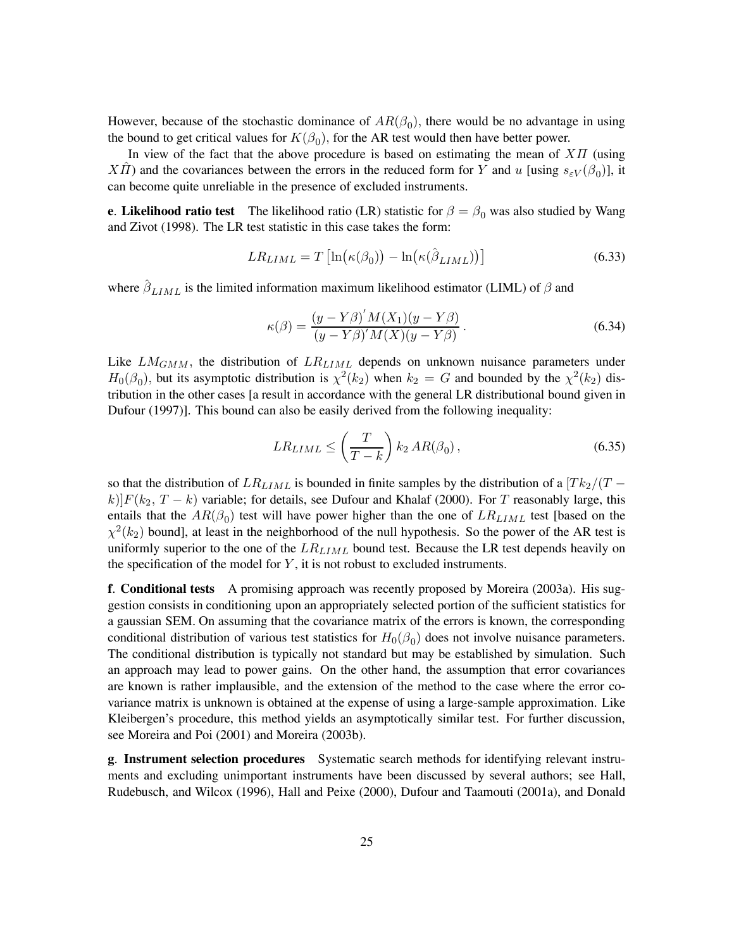However, because of the stochastic dominance of  $AR(\beta_0)$ , there would be no advantage in using the bound to get critical values for  $K(\beta_0)$ , for the AR test would then have better power.

In view of the fact that the above procedure is based on estimating the mean of  $X\Pi$  (using  $X_{II}$ ) and the covariances between the errors in the reduced form for Y and u [using  $s_{\varepsilon V}(\beta_0)$ ], it can become quite unreliable in the presence of excluded instruments.

**e**. **Likelihood ratio test** The likelihood ratio (LR) statistic for  $\beta = \beta_0$  was also studied by Wang and Zivot (1998). The LR test statistic in this case takes the form:

$$
LR_{LIML} = T \left[ \ln \left( \kappa(\beta_0) \right) - \ln \left( \kappa(\hat{\beta}_{LIML}) \right) \right]
$$
 (6.33)

where  $\hat{\beta}_{LIML}$  is the limited information maximum likelihood estimator (LIML) of  $\beta$  and

$$
\kappa(\beta) = \frac{(y - Y\beta)'M(X_1)(y - Y\beta)}{(y - Y\beta)'M(X)(y - Y\beta)}.
$$
\n(6.34)

Like  $LM_{GMM}$ , the distribution of  $LR_{LIML}$  depends on unknown nuisance parameters under  $H_0(\beta_0)$ , but its asymptotic distribution is  $\chi^2(k_2)$  when  $k_2 = G$  and bounded by the  $\chi^2(k_2)$  distribution in the other cases [a result in accordance with the general LR distributional bound given in Dufour (1997)]. This bound can also be easily derived from the following inequality:

$$
LR_{LIML} \leq \left(\frac{T}{T-k}\right) k_2 AR(\beta_0),\tag{6.35}
$$

so that the distribution of  $LR_{LIML}$  is bounded in finite samples by the distribution of a  $(Tk_2/(T$ k)] $F(k_2, T - k)$  variable; for details, see Dufour and Khalaf (2000). For T reasonably large, this entails that the  $AR(\beta_0)$  test will have power higher than the one of  $LR_{LIML}$  test [based on the  $\chi^2(k_2)$  bound], at least in the neighborhood of the null hypothesis. So the power of the AR test is uniformly superior to the one of the  $LR_{LIML}$  bound test. Because the LR test depends heavily on the specification of the model for  $Y$ , it is not robust to excluded instruments.

**f**. **Conditional tests** A promising approach was recently proposed by Moreira (2003a). His suggestion consists in conditioning upon an appropriately selected portion of the sufficient statistics for a gaussian SEM. On assuming that the covariance matrix of the errors is known, the corresponding conditional distribution of various test statistics for  $H_0(\beta_0)$  does not involve nuisance parameters. The conditional distribution is typically not standard but may be established by simulation. Such an approach may lead to power gains. On the other hand, the assumption that error covariances are known is rather implausible, and the extension of the method to the case where the error covariance matrix is unknown is obtained at the expense of using a large-sample approximation. Like Kleibergen's procedure, this method yields an asymptotically similar test. For further discussion, see Moreira and Poi (2001) and Moreira (2003b).

**g**. **Instrument selection procedures** Systematic search methods for identifying relevant instruments and excluding unimportant instruments have been discussed by several authors; see Hall, Rudebusch, and Wilcox (1996), Hall and Peixe (2000), Dufour and Taamouti (2001a), and Donald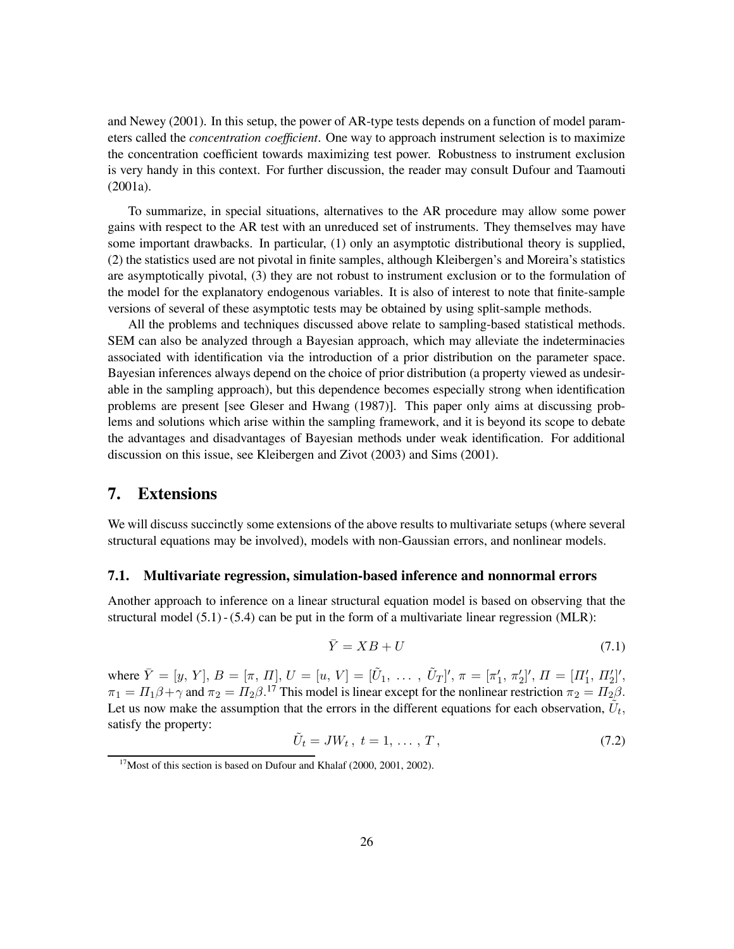and Newey (2001). In this setup, the power of AR-type tests depends on a function of model parameters called the *concentration coefficient*. One way to approach instrument selection is to maximize the concentration coefficient towards maximizing test power. Robustness to instrument exclusion is very handy in this context. For further discussion, the reader may consult Dufour and Taamouti (2001a).

To summarize, in special situations, alternatives to the AR procedure may allow some power gains with respect to the AR test with an unreduced set of instruments. They themselves may have some important drawbacks. In particular, (1) only an asymptotic distributional theory is supplied, (2) the statistics used are not pivotal in finite samples, although Kleibergen's and Moreira's statistics are asymptotically pivotal, (3) they are not robust to instrument exclusion or to the formulation of the model for the explanatory endogenous variables. It is also of interest to note that finite-sample versions of several of these asymptotic tests may be obtained by using split-sample methods.

All the problems and techniques discussed above relate to sampling-based statistical methods. SEM can also be analyzed through a Bayesian approach, which may alleviate the indeterminacies associated with identification via the introduction of a prior distribution on the parameter space. Bayesian inferences always depend on the choice of prior distribution (a property viewed as undesirable in the sampling approach), but this dependence becomes especially strong when identification problems are present [see Gleser and Hwang (1987)]. This paper only aims at discussing problems and solutions which arise within the sampling framework, and it is beyond its scope to debate the advantages and disadvantages of Bayesian methods under weak identification. For additional discussion on this issue, see Kleibergen and Zivot (2003) and Sims (2001).

# **7. Extensions**

We will discuss succinctly some extensions of the above results to multivariate setups (where several structural equations may be involved), models with non-Gaussian errors, and nonlinear models.

#### **7.1. Multivariate regression, simulation-based inference and nonnormal errors**

Another approach to inference on a linear structural equation model is based on observing that the structural model  $(5.1)$  -  $(5.4)$  can be put in the form of a multivariate linear regression (MLR):

$$
\bar{Y} = XB + U \tag{7.1}
$$

where  $\overline{Y} = [y, Y], B = [\pi, \Pi], U = [u, V] = [\tilde{U}_1, \ldots, \tilde{U}_T]', \pi = [\pi'_1, \pi'_2]', \Pi = [\Pi'_1, \Pi'_2]',$  $\pi_1 = \Pi_1 \beta + \gamma$  and  $\pi_2 = \Pi_2 \beta$ .<sup>17</sup> This model is linear except for the nonlinear restriction  $\pi_2 = \Pi_2 \beta$ . Let us now make the assumption that the errors in the different equations for each observation,  $U_t$ , satisfy the property:

$$
\tilde{U}_t = JW_t, \ t = 1, \ \dots \ , \ T \,, \tag{7.2}
$$

 $17$ Most of this section is based on Dufour and Khalaf (2000, 2001, 2002).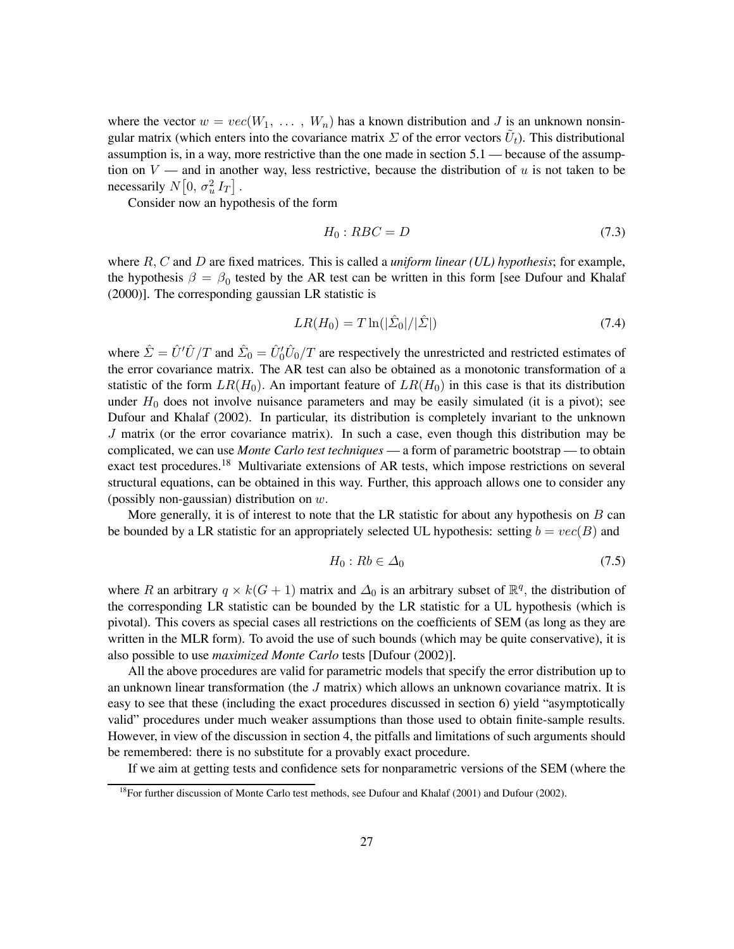where the vector  $w = vec(W_1, \ldots, W_n)$  has a known distribution and J is an unknown nonsingular matrix (which enters into the covariance matrix  $\Sigma$  of the error vectors  $\tilde{U}_t$ ). This distributional assumption is, in a way, more restrictive than the one made in section 5.1 — because of the assumption on  $V$  — and in another way, less restrictive, because the distribution of  $u$  is not taken to be necessarily  $N[0, \sigma_u^2 I_T]$ .

Consider now an hypothesis of the form

$$
H_0: RBC = D \tag{7.3}
$$

where R, C and D are fixed matrices. This is called a *uniform linear (UL) hypothesis*; for example, the hypothesis  $\beta = \beta_0$  tested by the AR test can be written in this form [see Dufour and Khalaf (2000)]. The corresponding gaussian LR statistic is

$$
LR(H_0) = T \ln(|\hat{\Sigma}_0|/|\hat{\Sigma}|) \tag{7.4}
$$

where  $\hat{\Sigma} = \hat{U}' \hat{U}/T$  and  $\hat{\Sigma}_0 = \hat{U}'_0 \hat{U}_0/T$  are respectively the unrestricted and restricted estimates of the error covariance matrix. The AR test can also be obtained as a monotonic transformation of a statistic of the form  $LR(H_0)$ . An important feature of  $LR(H_0)$  in this case is that its distribution under  $H_0$  does not involve nuisance parameters and may be easily simulated (it is a pivot); see Dufour and Khalaf (2002). In particular, its distribution is completely invariant to the unknown  $J$  matrix (or the error covariance matrix). In such a case, even though this distribution may be complicated, we can use *Monte Carlo test techniques* — a form of parametric bootstrap — to obtain exact test procedures.<sup>18</sup> Multivariate extensions of AR tests, which impose restrictions on several structural equations, can be obtained in this way. Further, this approach allows one to consider any (possibly non-gaussian) distribution on  $w$ .

More generally, it is of interest to note that the LR statistic for about any hypothesis on  $B$  can be bounded by a LR statistic for an appropriately selected UL hypothesis: setting  $b = vec(B)$  and

$$
H_0: Rb \in \Delta_0 \tag{7.5}
$$

where R an arbitrary  $q \times k(G + 1)$  matrix and  $\Delta_0$  is an arbitrary subset of  $\mathbb{R}^q$ , the distribution of the corresponding LR statistic can be bounded by the LR statistic for a UL hypothesis (which is pivotal). This covers as special cases all restrictions on the coefficients of SEM (as long as they are written in the MLR form). To avoid the use of such bounds (which may be quite conservative), it is also possible to use *maximized Monte Carlo* tests [Dufour (2002)].

All the above procedures are valid for parametric models that specify the error distribution up to an unknown linear transformation (the  $J$  matrix) which allows an unknown covariance matrix. It is easy to see that these (including the exact procedures discussed in section 6) yield "asymptotically valid" procedures under much weaker assumptions than those used to obtain finite-sample results. However, in view of the discussion in section 4, the pitfalls and limitations of such arguments should be remembered: there is no substitute for a provably exact procedure.

If we aim at getting tests and confidence sets for nonparametric versions of the SEM (where the

<sup>&</sup>lt;sup>18</sup>For further discussion of Monte Carlo test methods, see Dufour and Khalaf (2001) and Dufour (2002).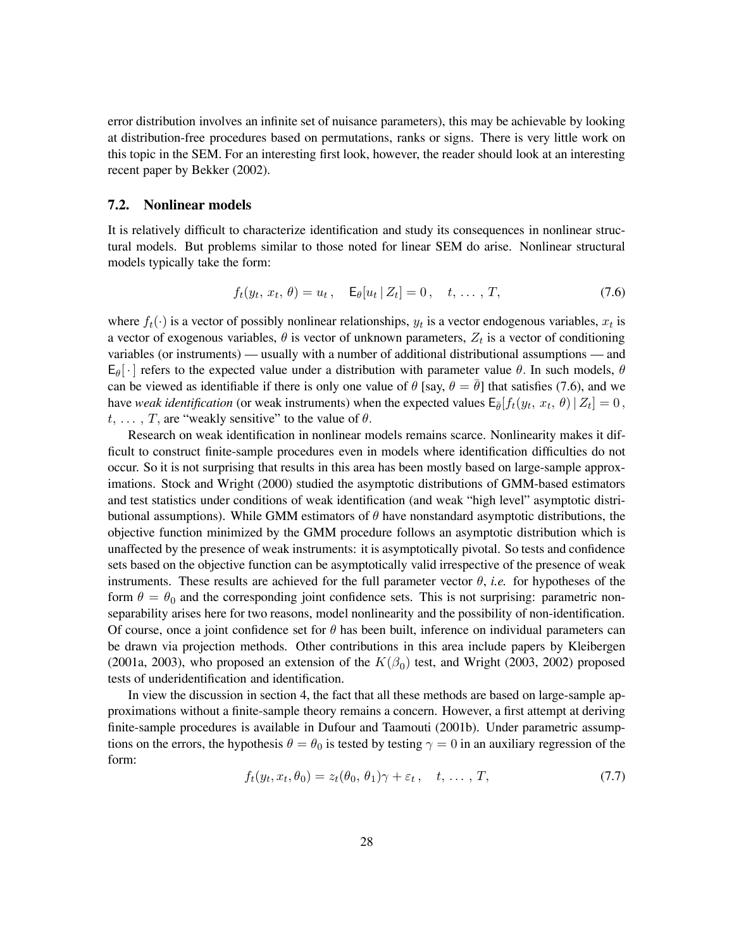error distribution involves an infinite set of nuisance parameters), this may be achievable by looking at distribution-free procedures based on permutations, ranks or signs. There is very little work on this topic in the SEM. For an interesting first look, however, the reader should look at an interesting recent paper by Bekker (2002).

#### **7.2. Nonlinear models**

It is relatively difficult to characterize identification and study its consequences in nonlinear structural models. But problems similar to those noted for linear SEM do arise. Nonlinear structural models typically take the form:

$$
f_t(y_t, x_t, \theta) = u_t, \quad \mathsf{E}_{\theta}[u_t | Z_t] = 0, \quad t, \dots, T,
$$
\n(7.6)

where  $f_t(\cdot)$  is a vector of possibly nonlinear relationships,  $y_t$  is a vector endogenous variables,  $x_t$  is a vector of exogenous variables,  $\theta$  is vector of unknown parameters,  $Z_t$  is a vector of conditioning variables (or instruments) — usually with a number of additional distributional assumptions — and  $E_{\theta}[\cdot]$  refers to the expected value under a distribution with parameter value  $\theta$ . In such models,  $\theta$ can be viewed as identifiable if there is only one value of  $\theta$  [say,  $\theta = \theta$ ] that satisfies (7.6), and we have *weak identification* (or weak instruments) when the expected values  $E_{\bar{\theta}}[f_t(y_t, x_t, \theta) | Z_t] = 0$ ,  $t, \ldots, T$ , are "weakly sensitive" to the value of  $\theta$ .

Research on weak identification in nonlinear models remains scarce. Nonlinearity makes it difficult to construct finite-sample procedures even in models where identification difficulties do not occur. So it is not surprising that results in this area has been mostly based on large-sample approximations. Stock and Wright (2000) studied the asymptotic distributions of GMM-based estimators and test statistics under conditions of weak identification (and weak "high level" asymptotic distributional assumptions). While GMM estimators of  $\theta$  have nonstandard asymptotic distributions, the objective function minimized by the GMM procedure follows an asymptotic distribution which is unaffected by the presence of weak instruments: it is asymptotically pivotal. So tests and confidence sets based on the objective function can be asymptotically valid irrespective of the presence of weak instruments. These results are achieved for the full parameter vector  $\theta$ , *i.e.* for hypotheses of the form  $\theta = \theta_0$  and the corresponding joint confidence sets. This is not surprising: parametric nonseparability arises here for two reasons, model nonlinearity and the possibility of non-identification. Of course, once a joint confidence set for  $\theta$  has been built, inference on individual parameters can be drawn via projection methods. Other contributions in this area include papers by Kleibergen (2001a, 2003), who proposed an extension of the  $K(\beta_0)$  test, and Wright (2003, 2002) proposed tests of underidentification and identification.

In view the discussion in section 4, the fact that all these methods are based on large-sample approximations without a finite-sample theory remains a concern. However, a first attempt at deriving finite-sample procedures is available in Dufour and Taamouti (2001b). Under parametric assumptions on the errors, the hypothesis  $\theta = \theta_0$  is tested by testing  $\gamma = 0$  in an auxiliary regression of the form:

$$
f_t(y_t, x_t, \theta_0) = z_t(\theta_0, \theta_1)\gamma + \varepsilon_t, \quad t, \dots, T,
$$
\n(7.7)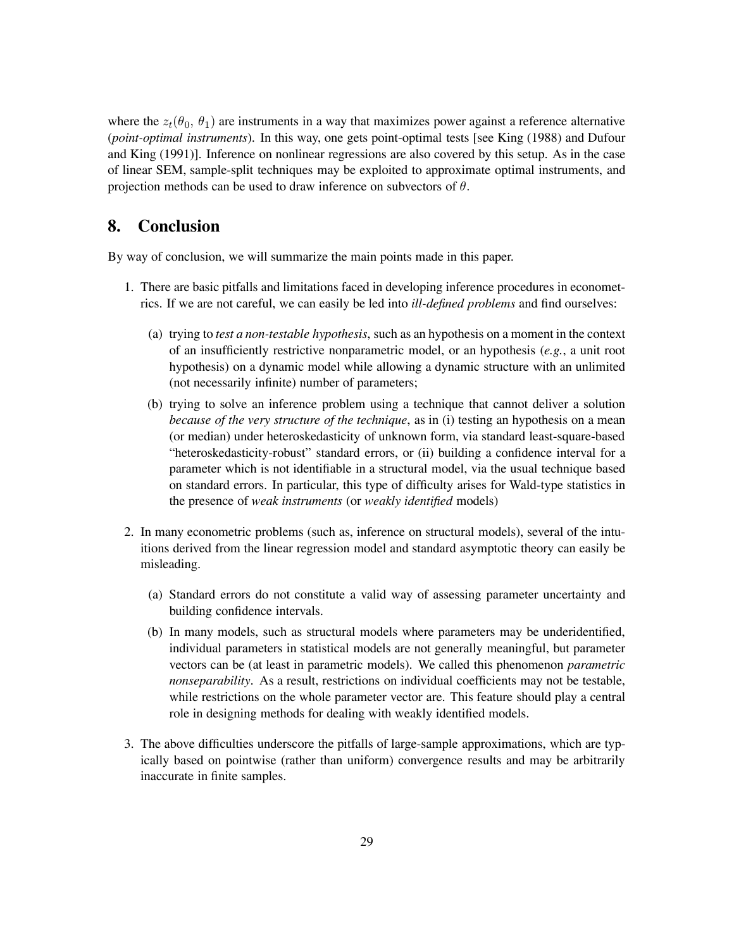where the  $z_t(\theta_0, \theta_1)$  are instruments in a way that maximizes power against a reference alternative (*point-optimal instruments*). In this way, one gets point-optimal tests [see King (1988) and Dufour and King (1991)]. Inference on nonlinear regressions are also covered by this setup. As in the case of linear SEM, sample-split techniques may be exploited to approximate optimal instruments, and projection methods can be used to draw inference on subvectors of  $\theta$ .

# **8. Conclusion**

By way of conclusion, we will summarize the main points made in this paper.

- 1. There are basic pitfalls and limitations faced in developing inference procedures in econometrics. If we are not careful, we can easily be led into *ill-defined problems* and find ourselves:
	- (a) trying to *test a non-testable hypothesis*, such as an hypothesis on a moment in the context of an insufficiently restrictive nonparametric model, or an hypothesis (*e.g.*, a unit root hypothesis) on a dynamic model while allowing a dynamic structure with an unlimited (not necessarily infinite) number of parameters;
	- (b) trying to solve an inference problem using a technique that cannot deliver a solution *because of the very structure of the technique*, as in (i) testing an hypothesis on a mean (or median) under heteroskedasticity of unknown form, via standard least-square-based "heteroskedasticity-robust" standard errors, or (ii) building a confidence interval for a parameter which is not identifiable in a structural model, via the usual technique based on standard errors. In particular, this type of difficulty arises for Wald-type statistics in the presence of *weak instruments* (or *weakly identified* models)
- 2. In many econometric problems (such as, inference on structural models), several of the intuitions derived from the linear regression model and standard asymptotic theory can easily be misleading.
	- (a) Standard errors do not constitute a valid way of assessing parameter uncertainty and building confidence intervals.
	- (b) In many models, such as structural models where parameters may be underidentified, individual parameters in statistical models are not generally meaningful, but parameter vectors can be (at least in parametric models). We called this phenomenon *parametric nonseparability*. As a result, restrictions on individual coefficients may not be testable, while restrictions on the whole parameter vector are. This feature should play a central role in designing methods for dealing with weakly identified models.
- 3. The above difficulties underscore the pitfalls of large-sample approximations, which are typically based on pointwise (rather than uniform) convergence results and may be arbitrarily inaccurate in finite samples.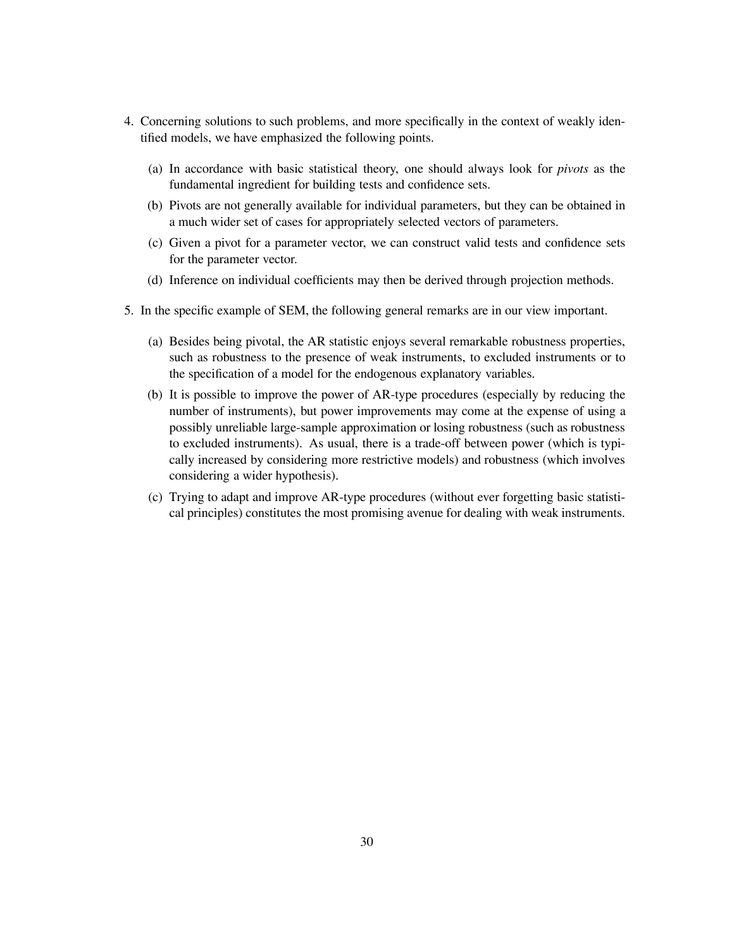- 4. Concerning solutions to such problems, and more specifically in the context of weakly identified models, we have emphasized the following points.
	- (a) In accordance with basic statistical theory, one should always look for *pivots* as the fundamental ingredient for building tests and confidence sets.
	- (b) Pivots are not generally available for individual parameters, but they can be obtained in a much wider set of cases for appropriately selected vectors of parameters.
	- (c) Given a pivot for a parameter vector, we can construct valid tests and confidence sets for the parameter vector.
	- (d) Inference on individual coefficients may then be derived through projection methods.
- 5. In the specific example of SEM, the following general remarks are in our view important.
	- (a) Besides being pivotal, the AR statistic enjoys several remarkable robustness properties, such as robustness to the presence of weak instruments, to excluded instruments or to the specification of a model for the endogenous explanatory variables.
	- (b) It is possible to improve the power of AR-type procedures (especially by reducing the number of instruments), but power improvements may come at the expense of using a possibly unreliable large-sample approximation or losing robustness (such as robustness to excluded instruments). As usual, there is a trade-off between power (which is typically increased by considering more restrictive models) and robustness (which involves considering a wider hypothesis).
	- (c) Trying to adapt and improve AR-type procedures (without ever forgetting basic statistical principles) constitutes the most promising avenue for dealing with weak instruments.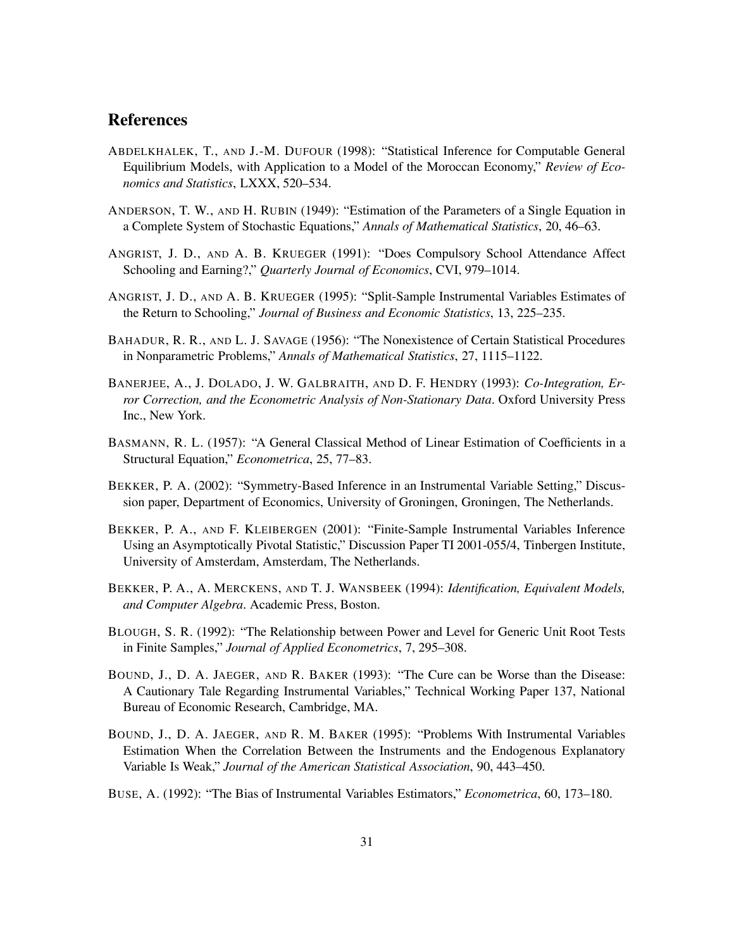# **References**

- ABDELKHALEK, T., AND J.-M. DUFOUR (1998): "Statistical Inference for Computable General Equilibrium Models, with Application to a Model of the Moroccan Economy," *Review of Economics and Statistics*, LXXX, 520–534.
- ANDERSON, T. W., AND H. RUBIN (1949): "Estimation of the Parameters of a Single Equation in a Complete System of Stochastic Equations," *Annals of Mathematical Statistics*, 20, 46–63.
- ANGRIST, J. D., AND A. B. KRUEGER (1991): "Does Compulsory School Attendance Affect Schooling and Earning?," *Quarterly Journal of Economics*, CVI, 979–1014.
- ANGRIST, J. D., AND A. B. KRUEGER (1995): "Split-Sample Instrumental Variables Estimates of the Return to Schooling," *Journal of Business and Economic Statistics*, 13, 225–235.
- BAHADUR, R. R., AND L. J. SAVAGE (1956): "The Nonexistence of Certain Statistical Procedures in Nonparametric Problems," *Annals of Mathematical Statistics*, 27, 1115–1122.
- BANERJEE, A., J. DOLADO, J. W. GALBRAITH, AND D. F. HENDRY (1993): *Co-Integration, Error Correction, and the Econometric Analysis of Non-Stationary Data*. Oxford University Press Inc., New York.
- BASMANN, R. L. (1957): "A General Classical Method of Linear Estimation of Coefficients in a Structural Equation," *Econometrica*, 25, 77–83.
- BEKKER, P. A. (2002): "Symmetry-Based Inference in an Instrumental Variable Setting," Discussion paper, Department of Economics, University of Groningen, Groningen, The Netherlands.
- BEKKER, P. A., AND F. KLEIBERGEN (2001): "Finite-Sample Instrumental Variables Inference Using an Asymptotically Pivotal Statistic," Discussion Paper TI 2001-055/4, Tinbergen Institute, University of Amsterdam, Amsterdam, The Netherlands.
- BEKKER, P. A., A. MERCKENS, AND T. J. WANSBEEK (1994): *Identification, Equivalent Models, and Computer Algebra*. Academic Press, Boston.
- BLOUGH, S. R. (1992): "The Relationship between Power and Level for Generic Unit Root Tests in Finite Samples," *Journal of Applied Econometrics*, 7, 295–308.
- BOUND, J., D. A. JAEGER, AND R. BAKER (1993): "The Cure can be Worse than the Disease: A Cautionary Tale Regarding Instrumental Variables," Technical Working Paper 137, National Bureau of Economic Research, Cambridge, MA.
- BOUND, J., D. A. JAEGER, AND R. M. BAKER (1995): "Problems With Instrumental Variables Estimation When the Correlation Between the Instruments and the Endogenous Explanatory Variable Is Weak," *Journal of the American Statistical Association*, 90, 443–450.
- BUSE, A. (1992): "The Bias of Instrumental Variables Estimators," *Econometrica*, 60, 173–180.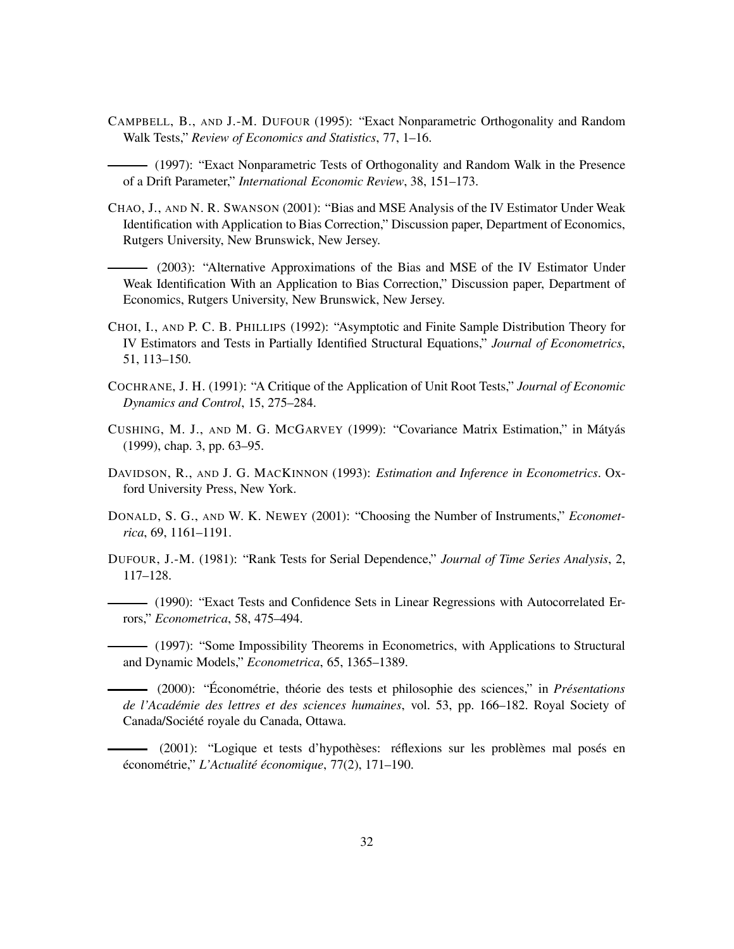- CAMPBELL, B., AND J.-M. DUFOUR (1995): "Exact Nonparametric Orthogonality and Random Walk Tests," *Review of Economics and Statistics*, 77, 1–16.
	- (1997): "Exact Nonparametric Tests of Orthogonality and Random Walk in the Presence of a Drift Parameter," *International Economic Review*, 38, 151–173.
- CHAO, J., AND N. R. SWANSON (2001): "Bias and MSE Analysis of the IV Estimator Under Weak Identification with Application to Bias Correction," Discussion paper, Department of Economics, Rutgers University, New Brunswick, New Jersey.
	- (2003): "Alternative Approximations of the Bias and MSE of the IV Estimator Under Weak Identification With an Application to Bias Correction," Discussion paper, Department of Economics, Rutgers University, New Brunswick, New Jersey.
- CHOI, I., AND P. C. B. PHILLIPS (1992): "Asymptotic and Finite Sample Distribution Theory for IV Estimators and Tests in Partially Identified Structural Equations," *Journal of Econometrics*, 51, 113–150.
- COCHRANE, J. H. (1991): "A Critique of the Application of Unit Root Tests," *Journal of Economic Dynamics and Control*, 15, 275–284.
- CUSHING, M. J., AND M. G. MCGARVEY (1999): "Covariance Matrix Estimation," in Mátyás (1999), chap. 3, pp. 63–95.
- DAVIDSON, R., AND J. G. MACKINNON (1993): *Estimation and Inference in Econometrics*. Oxford University Press, New York.
- DONALD, S. G., AND W. K. NEWEY (2001): "Choosing the Number of Instruments," *Econometrica*, 69, 1161–1191.
- DUFOUR, J.-M. (1981): "Rank Tests for Serial Dependence," *Journal of Time Series Analysis*, 2, 117–128.
- (1990): "Exact Tests and Confidence Sets in Linear Regressions with Autocorrelated Errors," *Econometrica*, 58, 475–494.
- (1997): "Some Impossibility Theorems in Econometrics, with Applications to Structural and Dynamic Models," *Econometrica*, 65, 1365–1389.

(2000): "Économétrie, théorie des tests et philosophie des sciences," in *Présentations de l'Académie des lettres et des sciences humaines*, vol. 53, pp. 166–182. Royal Society of Canada/Société royale du Canada, Ottawa.

(2001): "Logique et tests d'hypothèses: réflexions sur les problèmes mal posés en économétrie," *L'Actualité économique*, 77(2), 171–190.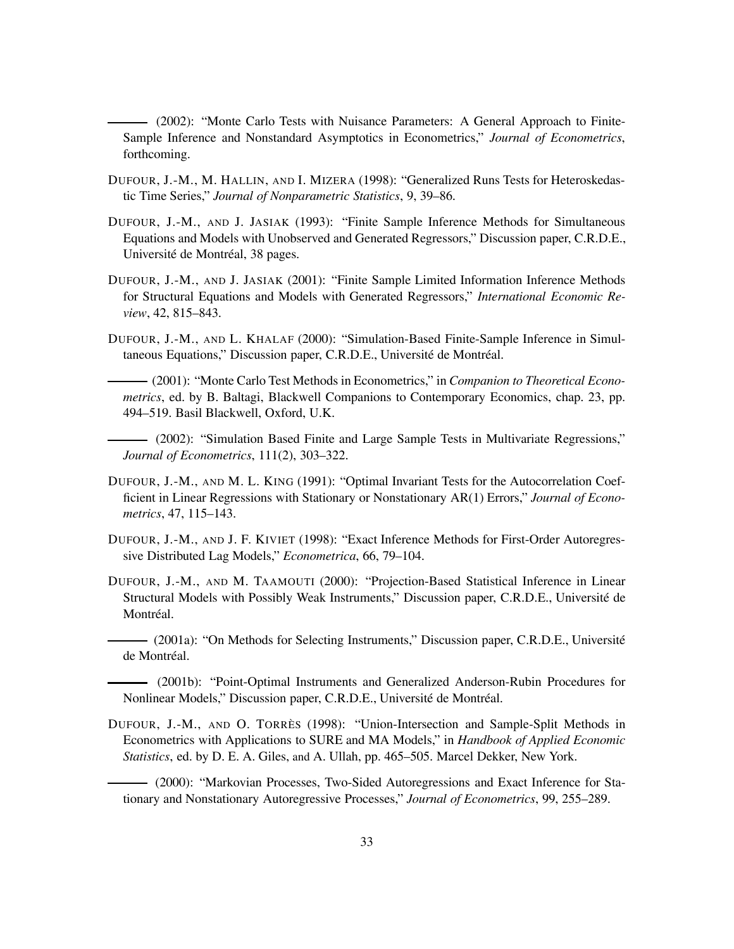(2002): "Monte Carlo Tests with Nuisance Parameters: A General Approach to Finite-Sample Inference and Nonstandard Asymptotics in Econometrics," *Journal of Econometrics*, forthcoming.

- DUFOUR, J.-M., M. HALLIN, AND I. MIZERA (1998): "Generalized Runs Tests for Heteroskedastic Time Series," *Journal of Nonparametric Statistics*, 9, 39–86.
- DUFOUR, J.-M., AND J. JASIAK (1993): "Finite Sample Inference Methods for Simultaneous Equations and Models with Unobserved and Generated Regressors," Discussion paper, C.R.D.E., Université de Montréal, 38 pages.
- DUFOUR, J.-M., AND J. JASIAK (2001): "Finite Sample Limited Information Inference Methods for Structural Equations and Models with Generated Regressors," *International Economic Review*, 42, 815–843.
- DUFOUR, J.-M., AND L. KHALAF (2000): "Simulation-Based Finite-Sample Inference in Simultaneous Equations," Discussion paper, C.R.D.E., Université de Montréal.

(2001): "Monte Carlo Test Methods in Econometrics," in *Companion to Theoretical Econometrics*, ed. by B. Baltagi, Blackwell Companions to Contemporary Economics, chap. 23, pp. 494–519. Basil Blackwell, Oxford, U.K.

(2002): "Simulation Based Finite and Large Sample Tests in Multivariate Regressions," *Journal of Econometrics*, 111(2), 303–322.

- DUFOUR, J.-M., AND M. L. KING (1991): "Optimal Invariant Tests for the Autocorrelation Coefficient in Linear Regressions with Stationary or Nonstationary AR(1) Errors," *Journal of Econometrics*, 47, 115–143.
- DUFOUR, J.-M., AND J. F. KIVIET (1998): "Exact Inference Methods for First-Order Autoregressive Distributed Lag Models," *Econometrica*, 66, 79–104.
- DUFOUR, J.-M., AND M. TAAMOUTI (2000): "Projection-Based Statistical Inference in Linear Structural Models with Possibly Weak Instruments," Discussion paper, C.R.D.E., Université de Montréal.

(2001a): "On Methods for Selecting Instruments," Discussion paper, C.R.D.E., Université de Montréal.

(2001b): "Point-Optimal Instruments and Generalized Anderson-Rubin Procedures for Nonlinear Models," Discussion paper, C.R.D.E., Université de Montréal.

DUFOUR, J.-M., AND O. TORRÈS (1998): "Union-Intersection and Sample-Split Methods in Econometrics with Applications to SURE and MA Models," in *Handbook of Applied Economic Statistics*, ed. by D. E. A. Giles, and A. Ullah, pp. 465–505. Marcel Dekker, New York.

(2000): "Markovian Processes, Two-Sided Autoregressions and Exact Inference for Stationary and Nonstationary Autoregressive Processes," *Journal of Econometrics*, 99, 255–289.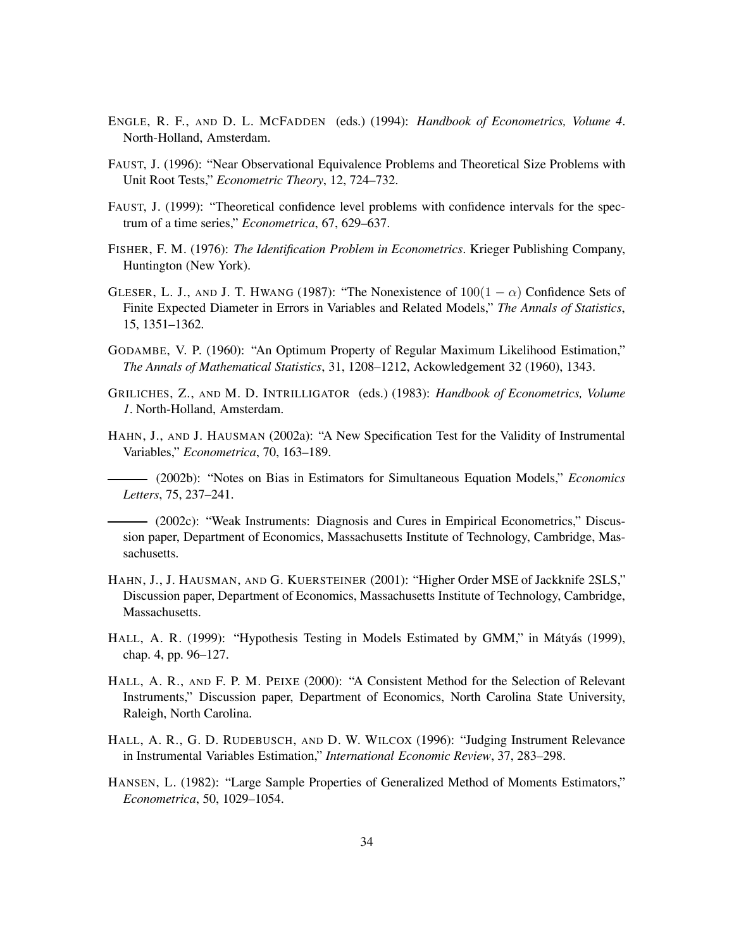- ENGLE, R. F., AND D. L. MCFADDEN (eds.) (1994): *Handbook of Econometrics, Volume 4*. North-Holland, Amsterdam.
- FAUST, J. (1996): "Near Observational Equivalence Problems and Theoretical Size Problems with Unit Root Tests," *Econometric Theory*, 12, 724–732.
- FAUST, J. (1999): "Theoretical confidence level problems with confidence intervals for the spectrum of a time series," *Econometrica*, 67, 629–637.
- FISHER, F. M. (1976): *The Identification Problem in Econometrics*. Krieger Publishing Company, Huntington (New York).
- GLESER, L. J., AND J. T. HWANG (1987): "The Nonexistence of  $100(1 \alpha)$  Confidence Sets of Finite Expected Diameter in Errors in Variables and Related Models," *The Annals of Statistics*, 15, 1351–1362.
- GODAMBE, V. P. (1960): "An Optimum Property of Regular Maximum Likelihood Estimation," *The Annals of Mathematical Statistics*, 31, 1208–1212, Ackowledgement 32 (1960), 1343.
- GRILICHES, Z., AND M. D. INTRILLIGATOR (eds.) (1983): *Handbook of Econometrics, Volume 1*. North-Holland, Amsterdam.
- HAHN, J., AND J. HAUSMAN (2002a): "A New Specification Test for the Validity of Instrumental Variables," *Econometrica*, 70, 163–189.

(2002b): "Notes on Bias in Estimators for Simultaneous Equation Models," *Economics Letters*, 75, 237–241.

(2002c): "Weak Instruments: Diagnosis and Cures in Empirical Econometrics," Discussion paper, Department of Economics, Massachusetts Institute of Technology, Cambridge, Massachusetts.

- HAHN, J., J. HAUSMAN, AND G. KUERSTEINER (2001): "Higher Order MSE of Jackknife 2SLS," Discussion paper, Department of Economics, Massachusetts Institute of Technology, Cambridge, Massachusetts.
- HALL, A. R. (1999): "Hypothesis Testing in Models Estimated by GMM," in Mátyás (1999), chap. 4, pp. 96–127.
- HALL, A. R., AND F. P. M. PEIXE (2000): "A Consistent Method for the Selection of Relevant Instruments," Discussion paper, Department of Economics, North Carolina State University, Raleigh, North Carolina.
- HALL, A. R., G. D. RUDEBUSCH, AND D. W. WILCOX (1996): "Judging Instrument Relevance in Instrumental Variables Estimation," *International Economic Review*, 37, 283–298.
- HANSEN, L. (1982): "Large Sample Properties of Generalized Method of Moments Estimators," *Econometrica*, 50, 1029–1054.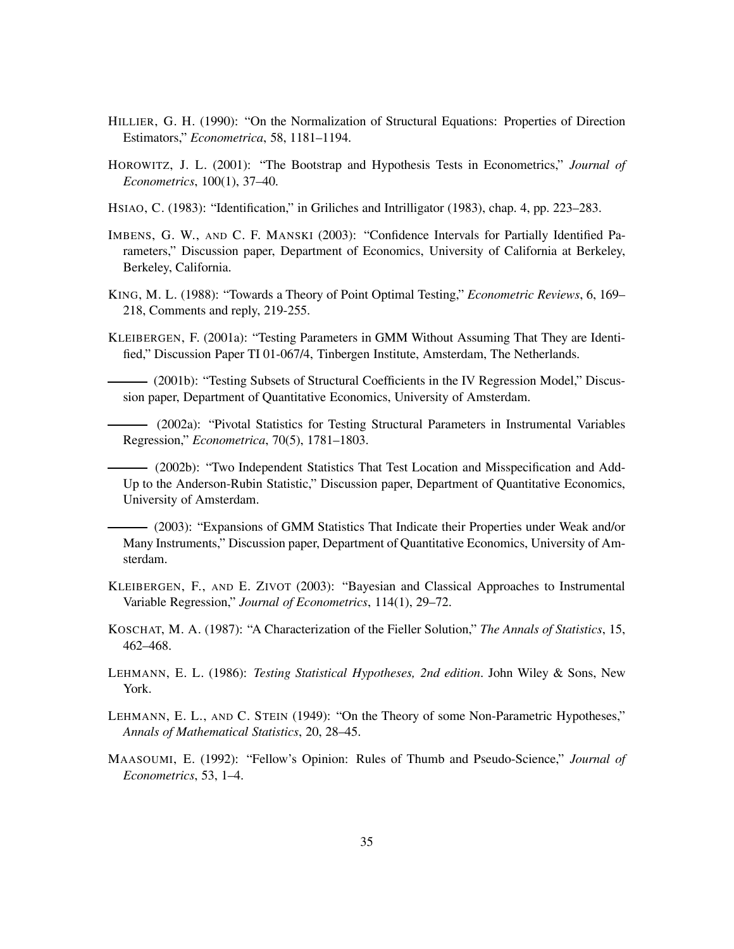- HILLIER, G. H. (1990): "On the Normalization of Structural Equations: Properties of Direction Estimators," *Econometrica*, 58, 1181–1194.
- HOROWITZ, J. L. (2001): "The Bootstrap and Hypothesis Tests in Econometrics," *Journal of Econometrics*, 100(1), 37–40.
- HSIAO, C. (1983): "Identification," in Griliches and Intrilligator (1983), chap. 4, pp. 223–283.
- IMBENS, G. W., AND C. F. MANSKI (2003): "Confidence Intervals for Partially Identified Parameters," Discussion paper, Department of Economics, University of California at Berkeley, Berkeley, California.
- KING, M. L. (1988): "Towards a Theory of Point Optimal Testing," *Econometric Reviews*, 6, 169– 218, Comments and reply, 219-255.
- KLEIBERGEN, F. (2001a): "Testing Parameters in GMM Without Assuming That They are Identified," Discussion Paper TI 01-067/4, Tinbergen Institute, Amsterdam, The Netherlands.

(2001b): "Testing Subsets of Structural Coefficients in the IV Regression Model," Discussion paper, Department of Quantitative Economics, University of Amsterdam.

(2002a): "Pivotal Statistics for Testing Structural Parameters in Instrumental Variables Regression," *Econometrica*, 70(5), 1781–1803.

(2002b): "Two Independent Statistics That Test Location and Misspecification and Add-Up to the Anderson-Rubin Statistic," Discussion paper, Department of Quantitative Economics, University of Amsterdam.

(2003): "Expansions of GMM Statistics That Indicate their Properties under Weak and/or Many Instruments," Discussion paper, Department of Quantitative Economics, University of Amsterdam.

- KLEIBERGEN, F., AND E. ZIVOT (2003): "Bayesian and Classical Approaches to Instrumental Variable Regression," *Journal of Econometrics*, 114(1), 29–72.
- KOSCHAT, M. A. (1987): "A Characterization of the Fieller Solution," *The Annals of Statistics*, 15, 462–468.
- LEHMANN, E. L. (1986): *Testing Statistical Hypotheses, 2nd edition*. John Wiley & Sons, New York.
- LEHMANN, E. L., AND C. STEIN (1949): "On the Theory of some Non-Parametric Hypotheses," *Annals of Mathematical Statistics*, 20, 28–45.
- MAASOUMI, E. (1992): "Fellow's Opinion: Rules of Thumb and Pseudo-Science," *Journal of Econometrics*, 53, 1–4.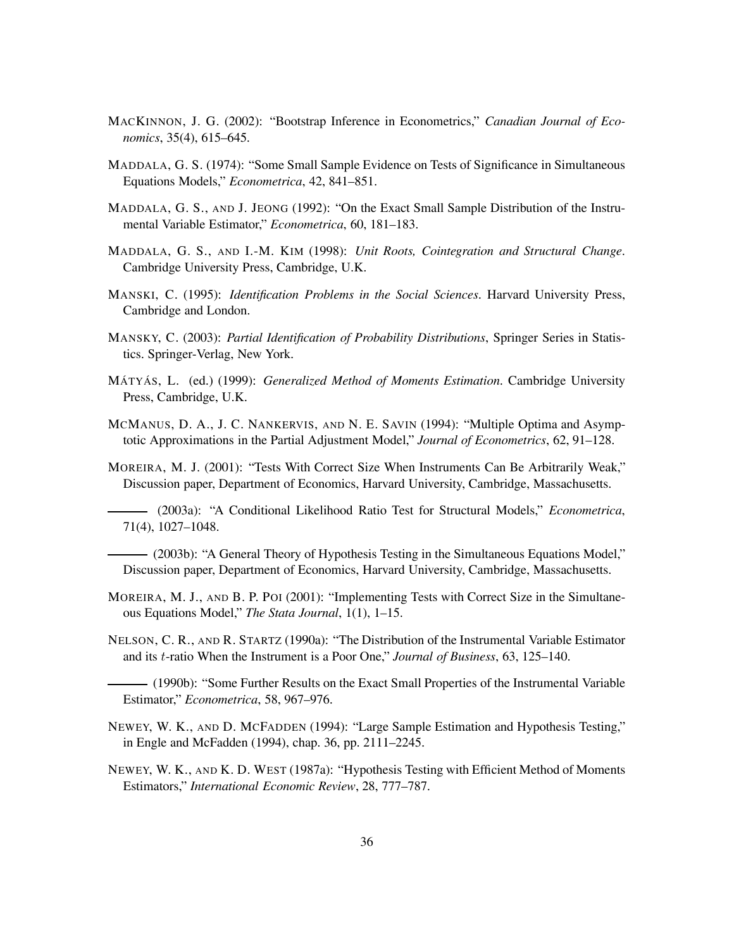- MACKINNON, J. G. (2002): "Bootstrap Inference in Econometrics," *Canadian Journal of Economics*, 35(4), 615–645.
- MADDALA, G. S. (1974): "Some Small Sample Evidence on Tests of Significance in Simultaneous Equations Models," *Econometrica*, 42, 841–851.
- MADDALA, G. S., AND J. JEONG (1992): "On the Exact Small Sample Distribution of the Instrumental Variable Estimator," *Econometrica*, 60, 181–183.
- MADDALA, G. S., AND I.-M. KIM (1998): *Unit Roots, Cointegration and Structural Change*. Cambridge University Press, Cambridge, U.K.
- MANSKI, C. (1995): *Identification Problems in the Social Sciences*. Harvard University Press, Cambridge and London.
- MANSKY, C. (2003): *Partial Identification of Probability Distributions*, Springer Series in Statistics. Springer-Verlag, New York.
- MÁTYÁS, L. (ed.) (1999): *Generalized Method of Moments Estimation*. Cambridge University Press, Cambridge, U.K.
- MCMANUS, D. A., J. C. NANKERVIS, AND N. E. SAVIN (1994): "Multiple Optima and Asymptotic Approximations in the Partial Adjustment Model," *Journal of Econometrics*, 62, 91–128.
- MOREIRA, M. J. (2001): "Tests With Correct Size When Instruments Can Be Arbitrarily Weak," Discussion paper, Department of Economics, Harvard University, Cambridge, Massachusetts.
	- (2003a): "A Conditional Likelihood Ratio Test for Structural Models," *Econometrica*, 71(4), 1027–1048.
	- (2003b): "A General Theory of Hypothesis Testing in the Simultaneous Equations Model," Discussion paper, Department of Economics, Harvard University, Cambridge, Massachusetts.
- MOREIRA, M. J., AND B. P. POI (2001): "Implementing Tests with Correct Size in the Simultaneous Equations Model," *The Stata Journal*, 1(1), 1–15.
- NELSON, C. R., AND R. STARTZ (1990a): "The Distribution of the Instrumental Variable Estimator and its t-ratio When the Instrument is a Poor One," *Journal of Business*, 63, 125–140.
	- (1990b): "Some Further Results on the Exact Small Properties of the Instrumental Variable Estimator," *Econometrica*, 58, 967–976.
- NEWEY, W. K., AND D. MCFADDEN (1994): "Large Sample Estimation and Hypothesis Testing," in Engle and McFadden (1994), chap. 36, pp. 2111–2245.
- NEWEY, W. K., AND K. D. WEST (1987a): "Hypothesis Testing with Efficient Method of Moments Estimators," *International Economic Review*, 28, 777–787.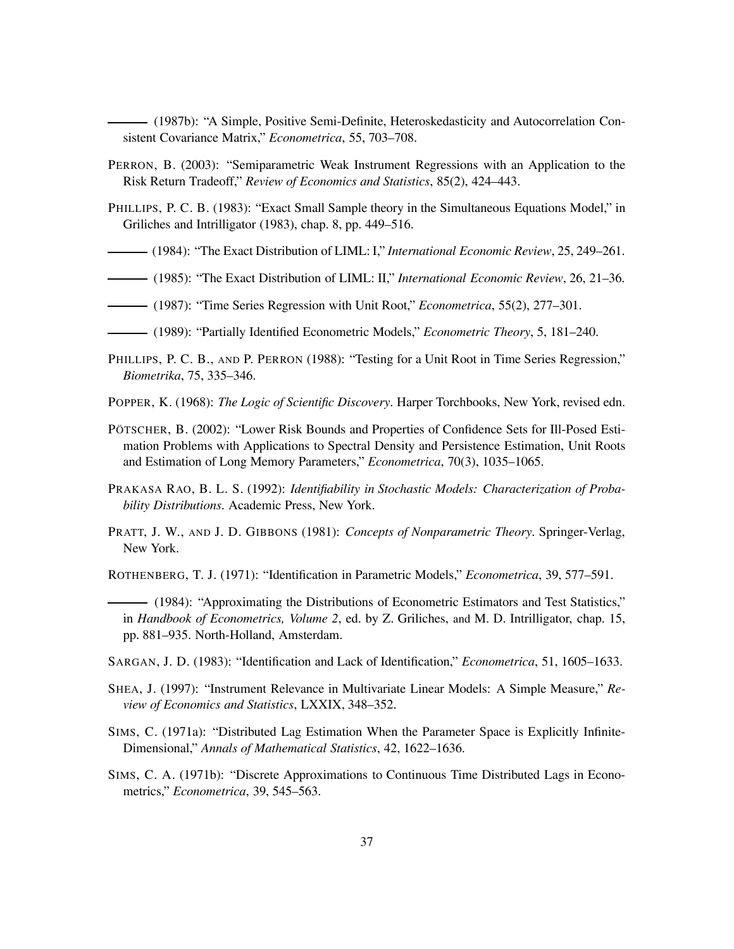(1987b): "A Simple, Positive Semi-Definite, Heteroskedasticity and Autocorrelation Consistent Covariance Matrix," *Econometrica*, 55, 703–708.

- PERRON, B. (2003): "Semiparametric Weak Instrument Regressions with an Application to the Risk Return Tradeoff," *Review of Economics and Statistics*, 85(2), 424–443.
- PHILLIPS, P. C. B. (1983): "Exact Small Sample theory in the Simultaneous Equations Model," in Griliches and Intrilligator (1983), chap. 8, pp. 449–516.
- (1984): "The Exact Distribution of LIML: I," *International Economic Review*, 25, 249–261.
- (1985): "The Exact Distribution of LIML: II," *International Economic Review*, 26, 21–36.
- (1987): "Time Series Regression with Unit Root," *Econometrica*, 55(2), 277–301.
- (1989): "Partially Identified Econometric Models," *Econometric Theory*, 5, 181–240.
- PHILLIPS, P. C. B., AND P. PERRON (1988): "Testing for a Unit Root in Time Series Regression," *Biometrika*, 75, 335–346.
- POPPER, K. (1968): *The Logic of Scientific Discovery*. Harper Torchbooks, New York, revised edn.
- PÖTSCHER, B. (2002): "Lower Risk Bounds and Properties of Confidence Sets for Ill-Posed Estimation Problems with Applications to Spectral Density and Persistence Estimation, Unit Roots and Estimation of Long Memory Parameters," *Econometrica*, 70(3), 1035–1065.
- PRAKASA RAO, B. L. S. (1992): *Identifiability in Stochastic Models: Characterization of Probability Distributions*. Academic Press, New York.
- PRATT, J. W., AND J. D. GIBBONS (1981): *Concepts of Nonparametric Theory*. Springer-Verlag, New York.
- ROTHENBERG, T. J. (1971): "Identification in Parametric Models," *Econometrica*, 39, 577–591.
- (1984): "Approximating the Distributions of Econometric Estimators and Test Statistics," in *Handbook of Econometrics, Volume 2*, ed. by Z. Griliches, and M. D. Intrilligator, chap. 15, pp. 881–935. North-Holland, Amsterdam.
- SARGAN, J. D. (1983): "Identification and Lack of Identification," *Econometrica*, 51, 1605–1633.
- SHEA, J. (1997): "Instrument Relevance in Multivariate Linear Models: A Simple Measure," *Review of Economics and Statistics*, LXXIX, 348–352.
- SIMS, C. (1971a): "Distributed Lag Estimation When the Parameter Space is Explicitly Infinite-Dimensional," *Annals of Mathematical Statistics*, 42, 1622–1636.
- SIMS, C. A. (1971b): "Discrete Approximations to Continuous Time Distributed Lags in Econometrics," *Econometrica*, 39, 545–563.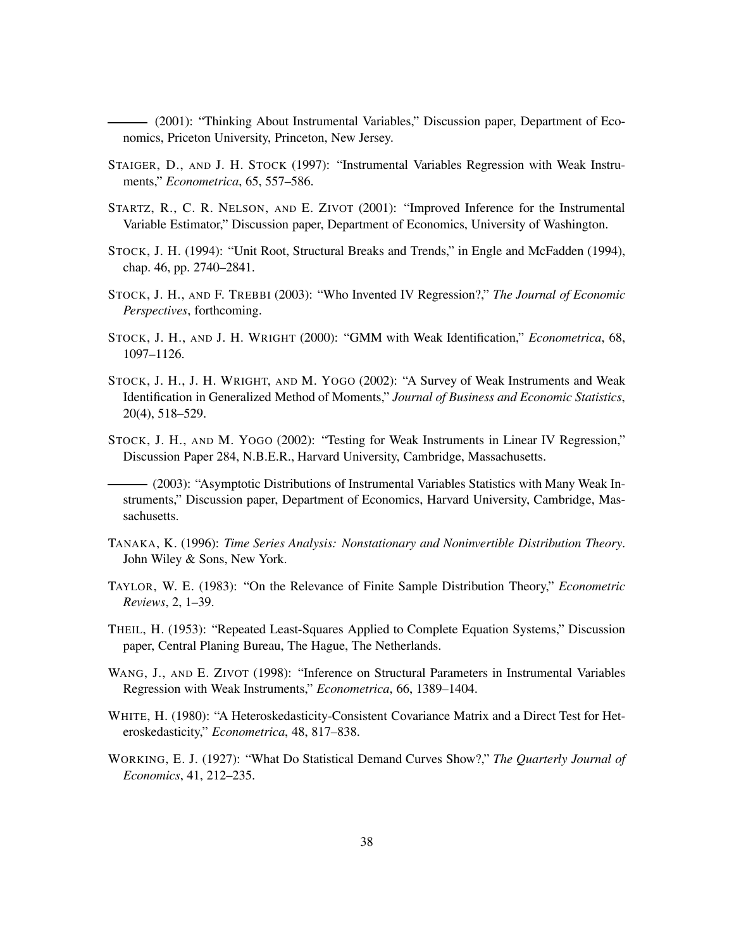(2001): "Thinking About Instrumental Variables," Discussion paper, Department of Economics, Priceton University, Princeton, New Jersey.

- STAIGER, D., AND J. H. STOCK (1997): "Instrumental Variables Regression with Weak Instruments," *Econometrica*, 65, 557–586.
- STARTZ, R., C. R. NELSON, AND E. ZIVOT (2001): "Improved Inference for the Instrumental Variable Estimator," Discussion paper, Department of Economics, University of Washington.
- STOCK, J. H. (1994): "Unit Root, Structural Breaks and Trends," in Engle and McFadden (1994), chap. 46, pp. 2740–2841.
- STOCK, J. H., AND F. TREBBI (2003): "Who Invented IV Regression?," *The Journal of Economic Perspectives*, forthcoming.
- STOCK, J. H., AND J. H. WRIGHT (2000): "GMM with Weak Identification," *Econometrica*, 68, 1097–1126.
- STOCK, J. H., J. H. WRIGHT, AND M. YOGO (2002): "A Survey of Weak Instruments and Weak Identification in Generalized Method of Moments," *Journal of Business and Economic Statistics*, 20(4), 518–529.
- STOCK, J. H., AND M. YOGO (2002): "Testing for Weak Instruments in Linear IV Regression," Discussion Paper 284, N.B.E.R., Harvard University, Cambridge, Massachusetts.

(2003): "Asymptotic Distributions of Instrumental Variables Statistics with Many Weak Instruments," Discussion paper, Department of Economics, Harvard University, Cambridge, Massachusetts.

- TANAKA, K. (1996): *Time Series Analysis: Nonstationary and Noninvertible Distribution Theory*. John Wiley & Sons, New York.
- TAYLOR, W. E. (1983): "On the Relevance of Finite Sample Distribution Theory," *Econometric Reviews*, 2, 1–39.
- THEIL, H. (1953): "Repeated Least-Squares Applied to Complete Equation Systems," Discussion paper, Central Planing Bureau, The Hague, The Netherlands.
- WANG, J., AND E. ZIVOT (1998): "Inference on Structural Parameters in Instrumental Variables Regression with Weak Instruments," *Econometrica*, 66, 1389–1404.
- WHITE, H. (1980): "A Heteroskedasticity-Consistent Covariance Matrix and a Direct Test for Heteroskedasticity," *Econometrica*, 48, 817–838.
- WORKING, E. J. (1927): "What Do Statistical Demand Curves Show?," *The Quarterly Journal of Economics*, 41, 212–235.